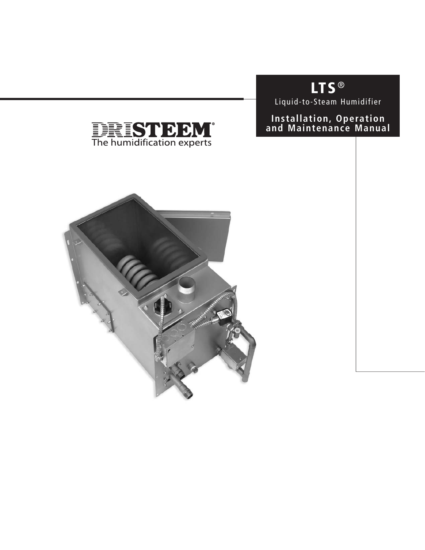# **LTS** ®

Liquid-to-Steam Humidifier

### **Installation, Operation and Maintenance Manual**



**THE STEPT**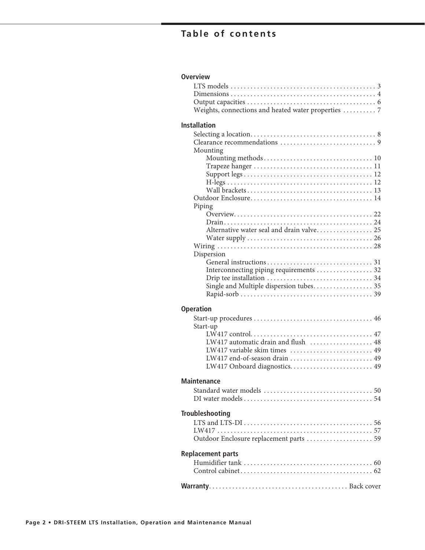## Table of contents

| <b>Overview</b>                                     |
|-----------------------------------------------------|
|                                                     |
|                                                     |
|                                                     |
| Weights, connections and heated water properties  7 |
| <b>Installation</b>                                 |
|                                                     |
|                                                     |
| Mounting                                            |
|                                                     |
|                                                     |
|                                                     |
|                                                     |
|                                                     |
|                                                     |
| Piping                                              |
|                                                     |
| Alternative water seal and drain valve 25           |
|                                                     |
|                                                     |
| Dispersion                                          |
|                                                     |
| Interconnecting piping requirements 32              |
|                                                     |
| Single and Multiple dispersion tubes 35             |
|                                                     |
| <b>Operation</b>                                    |
|                                                     |
| Start-up                                            |
|                                                     |
| LW417 automatic drain and flush  48                 |
| LW417 variable skim times  49                       |
| LW417 end-of-season drain  49                       |
| LW417 Onboard diagnostics 49                        |
| <b>Maintenance</b>                                  |
|                                                     |
|                                                     |
| <b>Troubleshooting</b>                              |
|                                                     |
|                                                     |
| Outdoor Enclosure replacement parts  59             |
| <b>Replacement parts</b>                            |
|                                                     |
|                                                     |
|                                                     |
|                                                     |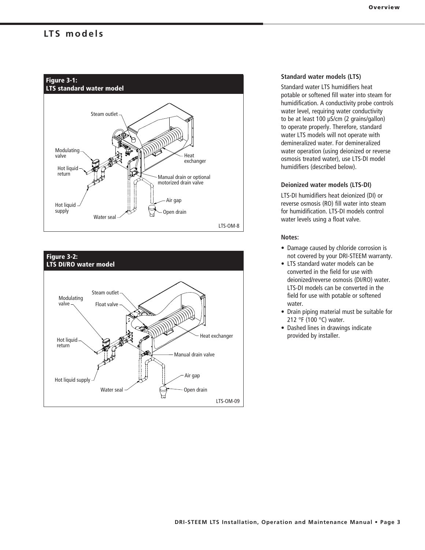### LTS models





### **Standard water models (LTS)**

Standard water LTS humidifiers heat potable or softened fill water into steam for humidification. A conductivity probe controls water level, requiring water conductivity to be at least 100 μS/cm (2 grains/gallon) to operate properly. Therefore, standard water LTS models will not operate with demineralized water. For demineralized water operation (using deionized or reverse osmosis treated water), use LTS-DI model humidifiers (described below).

#### **Deionized water models (LTS-DI)**

LTS-DI humidifiers heat deionized (DI) or reverse osmosis (RO) fill water into steam for humidification. LTS-DI models control water levels using a float valve.

### **Notes:**

- Damage caused by chloride corrosion is not covered by your DRI-STEEM warranty.
- LTS standard water models can be converted in the field for use with deionized/reverse osmosis (DI/RO) water. LTS-DI models can be converted in the field for use with potable or softened water.
- Drain piping material must be suitable for 212 °F (100 °C) water.
- Dashed lines in drawings indicate provided by installer.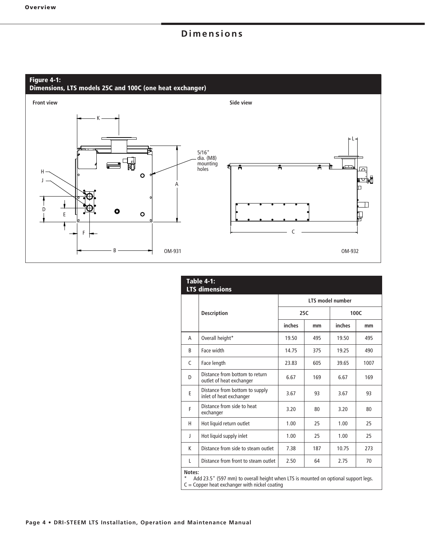## **Dimensions**

#### **Figure 4-1:**

**Dimensions, LTS models 25C and 100C (one heat exchanger)**



|              | <b>Table 4-1:</b><br><b>LTS dimensions</b>                                                                                            |                  |     |        |      |  |  |
|--------------|---------------------------------------------------------------------------------------------------------------------------------------|------------------|-----|--------|------|--|--|
|              |                                                                                                                                       | LTS model number |     |        |      |  |  |
|              | <b>Description</b>                                                                                                                    | 25C              |     |        | 100C |  |  |
|              |                                                                                                                                       | inches           | mm  | inches | mm   |  |  |
| A            | Overall height*                                                                                                                       | 19.50            | 495 | 19.50  | 495  |  |  |
| <sub>R</sub> | Face width                                                                                                                            | 14.75            | 375 | 19.25  | 490  |  |  |
| C            | Face length                                                                                                                           | 23.83            | 605 | 39.65  | 1007 |  |  |
| D            | Distance from bottom to return<br>outlet of heat exchanger                                                                            | 6.67             | 169 | 6.67   | 169  |  |  |
| E            | Distance from bottom to supply<br>inlet of heat exchanger                                                                             | 3.67             | 93  | 3.67   | 93   |  |  |
| F            | Distance from side to heat<br>exchanger                                                                                               | 3.20             | 80  | 3.20   | 80   |  |  |
| н            | Hot liquid return outlet                                                                                                              | 1.00             | 25  | 1.00   | 25   |  |  |
| J            | Hot liquid supply inlet                                                                                                               | 1.00             | 25  | 1.00   | 25   |  |  |
| К            | Distance from side to steam outlet                                                                                                    | 7.38             | 187 | 10.75  | 273  |  |  |
| L            | Distance from front to steam outlet                                                                                                   | 2.50             | 64  | 2.75   | 70   |  |  |
| Notes:       | Add 23.5" (597 mm) to overall height when LTS is mounted on optional support legs.<br>$C =$ Copper heat exchanger with nickel coating |                  |     |        |      |  |  |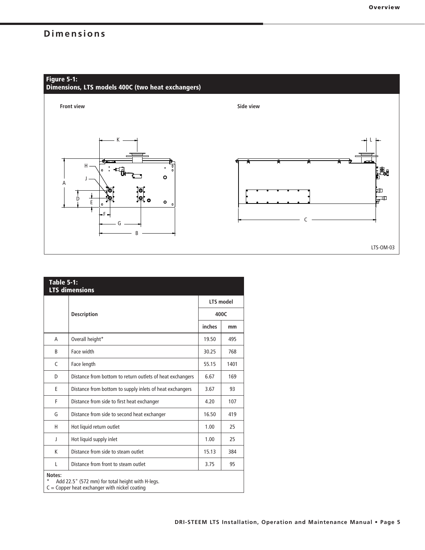## **Dimensions**



| <b>Table 5-1:</b> | <b>LTS dimensions</b>                                                                               |           |      |
|-------------------|-----------------------------------------------------------------------------------------------------|-----------|------|
|                   |                                                                                                     | LTS model |      |
|                   | <b>Description</b>                                                                                  | 400C      |      |
|                   |                                                                                                     | inches    | mm   |
| A                 | Overall height*                                                                                     | 19.50     | 495  |
| B                 | Face width                                                                                          | 30.25     | 768  |
| $\mathcal{C}$     | Face length                                                                                         | 55.15     | 1401 |
| D                 | Distance from bottom to return outlets of heat exchangers                                           | 6.67      | 169  |
| E                 | Distance from bottom to supply inlets of heat exchangers                                            | 3.67      | 93   |
| F                 | Distance from side to first heat exchanger                                                          | 4.20      | 107  |
| G                 | Distance from side to second heat exchanger                                                         | 16.50     | 419  |
| н                 | Hot liquid return outlet                                                                            | 1.00      | 25   |
| J                 | Hot liquid supply inlet                                                                             | 1.00      | 25   |
| K                 | Distance from side to steam outlet                                                                  | 15.13     | 384  |
| L                 | Distance from front to steam outlet                                                                 | 3.75      | 95   |
| Notes:<br>*       | Add 22.5" (572 mm) for total height with H-legs.<br>$C =$ Copper heat exchanger with nickel coating |           |      |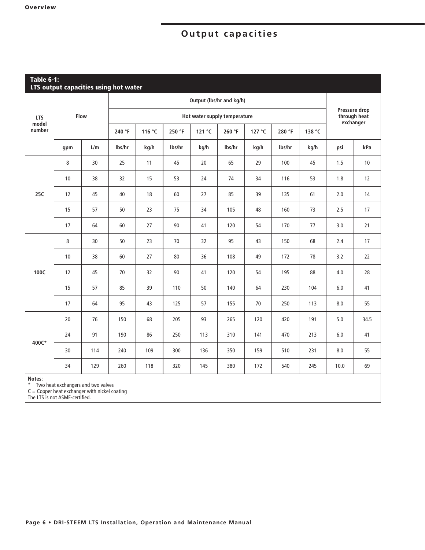## **Output capacities**

|                 | <b>Table 6-1:</b><br>LTS output capacities using hot water |      |        |        |        |                              |        |        |        |        |      |                                            |
|-----------------|------------------------------------------------------------|------|--------|--------|--------|------------------------------|--------|--------|--------|--------|------|--------------------------------------------|
|                 |                                                            |      |        |        |        | Output (lbs/hr and kg/h)     |        |        |        |        |      |                                            |
| <b>LTS</b>      |                                                            | Flow |        |        |        | Hot water supply temperature |        |        |        |        |      | Pressure drop<br>through heat<br>exchanger |
| model<br>number |                                                            |      | 240 °F | 116 °C | 250 °F | 121 °C                       | 260 °F | 127 °C | 280 °F | 138 °C |      |                                            |
|                 | gpm                                                        | L/m  | lbs/hr | kg/h   | Ibs/hr | kg/h                         | lbs/hr | kg/h   | lbs/hr | kg/h   | psi  | kPa                                        |
|                 | 8                                                          | 30   | 25     | 11     | 45     | 20                           | 65     | 29     | 100    | 45     | 1.5  | 10                                         |
|                 | 10                                                         | 38   | 32     | 15     | 53     | 24                           | 74     | 34     | 116    | 53     | 1.8  | 12                                         |
| 25C             | 12                                                         | 45   | 40     | 18     | 60     | 27                           | 85     | 39     | 135    | 61     | 2.0  | 14                                         |
|                 | 15                                                         | 57   | 50     | 23     | 75     | 34                           | 105    | 48     | 160    | 73     | 2.5  | 17                                         |
|                 | 17                                                         | 64   | 60     | 27     | 90     | 41                           | 120    | 54     | 170    | 77     | 3.0  | 21                                         |
|                 | 8                                                          | 30   | 50     | 23     | 70     | 32                           | 95     | 43     | 150    | 68     | 2.4  | 17                                         |
|                 | 10                                                         | 38   | 60     | 27     | 80     | 36                           | 108    | 49     | 172    | 78     | 3.2  | 22                                         |
| 100C            | 12                                                         | 45   | 70     | 32     | 90     | 41                           | 120    | 54     | 195    | 88     | 4.0  | 28                                         |
|                 | 15                                                         | 57   | 85     | 39     | 110    | 50                           | 140    | 64     | 230    | 104    | 6.0  | 41                                         |
|                 | 17                                                         | 64   | 95     | 43     | 125    | 57                           | 155    | 70     | 250    | 113    | 8.0  | 55                                         |
|                 | 20                                                         | 76   | 150    | 68     | 205    | 93                           | 265    | 120    | 420    | 191    | 5.0  | 34.5                                       |
|                 | 24                                                         | 91   | 190    | 86     | 250    | 113                          | 310    | 141    | 470    | 213    | 6.0  | 41                                         |
| 400C*           | 30                                                         | 114  | 240    | 109    | 300    | 136                          | 350    | 159    | 510    | 231    | 8.0  | 55                                         |
|                 | 34                                                         | 129  | 260    | 118    | 320    | 145                          | 380    | 172    | 540    | 245    | 10.0 | 69                                         |
| Notes:          |                                                            |      |        |        |        |                              |        |        |        |        |      |                                            |

**Notes:**

\* Two heat exchangers and two valves

C = Copper heat exchanger with nickel coating

The LTS is not ASME-certified.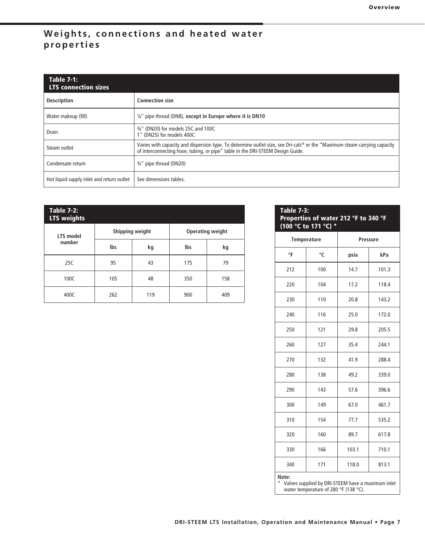### **Weights, connections and heated water properties**

| <b>Table 7-1:</b><br><b>LTS connection sizes</b> |                                                                                                                                                                                                                         |
|--------------------------------------------------|-------------------------------------------------------------------------------------------------------------------------------------------------------------------------------------------------------------------------|
| <b>Description</b>                               | <b>Connection size</b>                                                                                                                                                                                                  |
| Water makeup (fill)                              | $\frac{1}{4}$ " pipe thread (DN8), except in Europe where it is DN10                                                                                                                                                    |
| Drain                                            | 3/4" (DN20) for models 25C and 100C<br>1" (DN25) for models 400C                                                                                                                                                        |
| Steam outlet                                     | Varies with capacity and dispersion type. To determine outlet size, see Dri-calc <sup>®</sup> or the "Maximum steam carrying capacity<br>of interconnecting hose, tubing, or pipe" table in the DRI-STEEM Design Guide. |
| Condensate return                                | <sup>3/4"</sup> pipe thread (DN20)                                                                                                                                                                                      |
| Hot liquid supply inlet and return outlet        | See dimensions tables.                                                                                                                                                                                                  |

| <b>Table 7-2:</b><br><b>LTS weights</b> |     |                 |     |                  |
|-----------------------------------------|-----|-----------------|-----|------------------|
| LTS model                               |     | Shipping weight |     | Operating weight |
| number                                  | Ibs | kg              | lbs | kg               |
| 25C                                     | 95  | 43              | 175 | 79               |
| 100C                                    | 105 | 48              | 350 | 158              |
| 400C                                    | 262 | 119             | 900 | 409              |

| <b>Table 7-3:</b><br>Properties of water 212 °F to 340 °F<br>(100 °C to 171 °C) * |                                       |                                                   |       |  |  |
|-----------------------------------------------------------------------------------|---------------------------------------|---------------------------------------------------|-------|--|--|
| Temperature                                                                       |                                       | <b>Pressure</b>                                   |       |  |  |
| °F                                                                                | °C                                    | psia                                              | kPa   |  |  |
| 212                                                                               | 100                                   | 14.7                                              | 101.3 |  |  |
| 220                                                                               | 104                                   | 17.2                                              | 118.4 |  |  |
| 230                                                                               | 110                                   | 20.8                                              | 143.2 |  |  |
| 240                                                                               | 116                                   | 25.0                                              | 172.0 |  |  |
| 250                                                                               | 121                                   | 29.8                                              | 205.5 |  |  |
| 260                                                                               | 127                                   | 35.4                                              | 244.1 |  |  |
| 270                                                                               | 132                                   | 41.9                                              | 288.4 |  |  |
| 280                                                                               | 138                                   | 49.2                                              | 339.0 |  |  |
| 290                                                                               | 143                                   | 57.6                                              | 396.6 |  |  |
| 300                                                                               | 149                                   | 67.0                                              | 461.7 |  |  |
| 310                                                                               | 154                                   | 77.7                                              | 535.2 |  |  |
| 320                                                                               | 160                                   | 89.7                                              | 617.8 |  |  |
| 330                                                                               | 166                                   | 103.1                                             | 710.1 |  |  |
| 340                                                                               | 171                                   | 118.0                                             | 813.1 |  |  |
| Note:                                                                             | water temperature of 280 °F (138 °C). | Valves supplied by DRI-STEEM have a maximum inlet |       |  |  |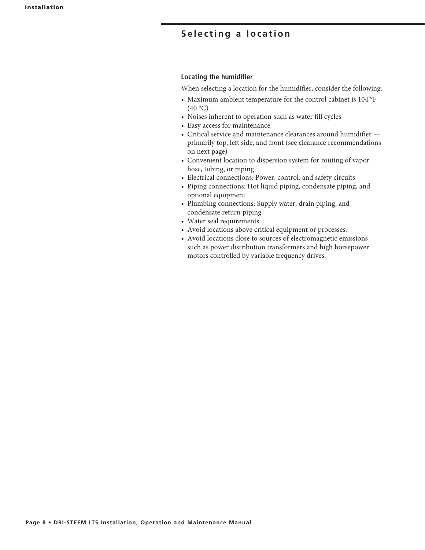### **Selecting a location**

#### **Locating the humidifier**

When selecting a location for the humidifier, consider the following:

- Maximum ambient temperature for the control cabinet is 104 °F  $(40 °C)$ .
- Noises inherent to operation such as water fill cycles
- Easy access for maintenance
- $\bullet$  Critical service and maintenance clearances around humidifier  $$ primarily top, left side, and front (see clearance recommendations on next page)
- Convenient location to dispersion system for routing of vapor hose, tubing, or piping
- Electrical connections: Power, control, and safety circuits
- Piping connections: Hot liquid piping, condensate piping, and optional equipment
- Plumbing connections: Supply water, drain piping, and condensate return piping
- Water seal requirements
- Avoid locations above critical equipment or processes.
- Avoid locations close to sources of electromagnetic emissions such as power distribution transformers and high horsepower motors controlled by variable frequency drives.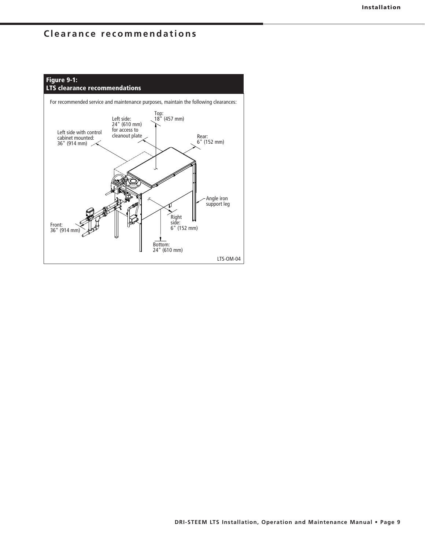### **Clearance recommendations**

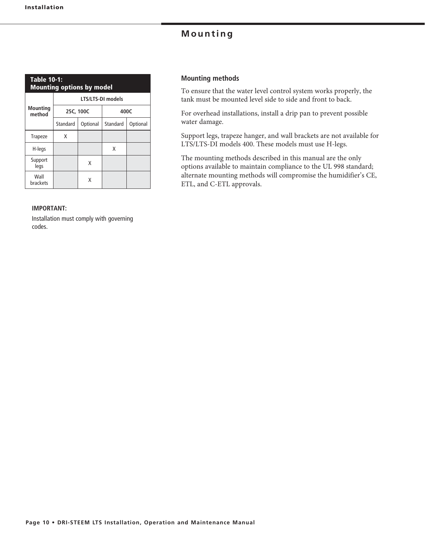| <b>Table 10-1:</b><br><b>Mounting options by model</b> |   |           |                          |          |  |  |
|--------------------------------------------------------|---|-----------|--------------------------|----------|--|--|
|                                                        |   |           | <b>LTS/LTS-DI models</b> |          |  |  |
| <b>Mounting</b><br>method                              |   | 25C, 100C | 400C                     |          |  |  |
| Standard                                               |   | Optional  | Standard                 | Optional |  |  |
| <b>Trapeze</b>                                         | x |           |                          |          |  |  |
| H-legs                                                 |   |           | X                        |          |  |  |
| Support<br>legs                                        |   | X         |                          |          |  |  |
| Wall<br>brackets                                       |   | x         |                          |          |  |  |

### **IMPORTANT:**

Installation must comply with governing codes.

### **Mounting methods**

To ensure that the water level control system works properly, the tank must be mounted level side to side and front to back.

For overhead installations, install a drip pan to prevent possible water damage.

Support legs, trapeze hanger, and wall brackets are not available for LTS/LTS-DI models 400. These models must use H-legs.

The mounting methods described in this manual are the only options available to maintain compliance to the UL 998 standard; alternate mounting methods will compromise the humidifier's CE, ETL, and C-ETL approvals.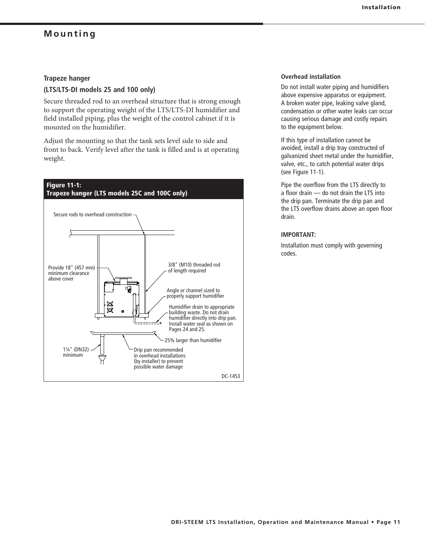### **Trapeze hanger**

### **(LTS/LTS-DI models 25 and 100 only)**

Secure threaded rod to an overhead structure that is strong enough to support the operating weight of the LTS/LTS-DI humidifier and field installed piping, plus the weight of the control cabinet if it is mounted on the humidifier.

Adjust the mounting so that the tank sets level side to side and front to back. Verify level after the tank is filled and is at operating weight.



#### **Overhead installation**

Do not install water piping and humidifiers above expensive apparatus or equipment. A broken water pipe, leaking valve gland, condensation or other water leaks can occur causing serious damage and costly repairs to the equipment below.

If this type of installation cannot be avoided, install a drip tray constructed of galvanized sheet metal under the humidifier, valve, etc., to catch potential water drips (see Figure 11-1).

Pipe the overflow from the LTS directly to a floor drain — do not drain the LTS into the drip pan. Terminate the drip pan and the LTS overflow drains above an open floor drain.

### **IMPORTANT:**

Installation must comply with governing codes.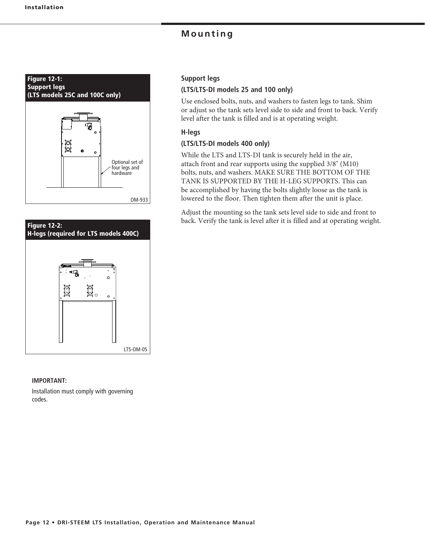![](_page_11_Figure_2.jpeg)

![](_page_11_Figure_3.jpeg)

#### **IMPORTANT:**

Installation must comply with governing codes.

### **Support legs**

### **(LTS/LTS-DI models 25 and 100 only)**

Use enclosed bolts, nuts, and washers to fasten legs to tank. Shim or adjust so the tank sets level side to side and front to back. Verify level after the tank is filled and is at operating weight.

### **H-legs**

### **(LTS/LTS-DI models 400 only)**

While the LTS and LTS-DI tank is securely held in the air, attach front and rear supports using the supplied 3/8" (M10) bolts, nuts, and washers. MAKE SURE THE BOTTOM OF THE TANK IS SUPPORTED BY THE H-LEG SUPPORTS. This can be accomplished by having the bolts slightly loose as the tank is lowered to the floor. Then tighten them after the unit is place.

Adjust the mounting so the tank sets level side to side and front to back. Verify the tank is level after it is filled and at operating weight.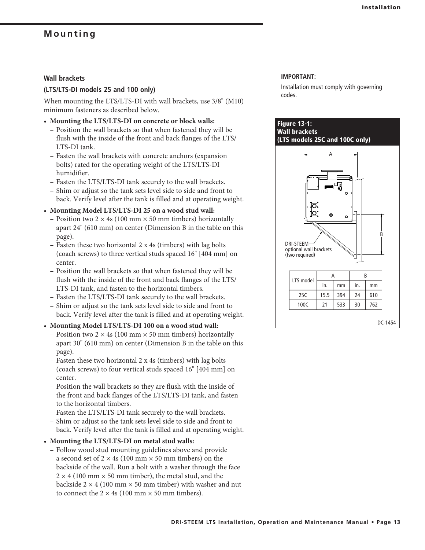### **Wall brackets**

### **(LTS/LTS-DI models 25 and 100 only)**

When mounting the LTS/LTS-DI with wall brackets, use 3/8" (M10) minimum fasteners as described below.

- $\bullet$  Mounting the LTS/LTS-DI on concrete or block walls:
	- Position the wall brackets so that when fastened they will be flush with the inside of the front and back flanges of the LTS/ LTS-DI tank.
	- Fasten the wall brackets with concrete anchors (expansion bolts) rated for the operating weight of the LTS/LTS-DI humidifier.
	- Fasten the LTS/LTS-DI tank securely to the wall brackets.
	- Shim or adjust so the tank sets level side to side and front to back. Verify level after the tank is filled and at operating weight.
- Mounting Model LTS/LTS-DI 25 on a wood stud wall:
- Position two 2  $\times$  4s (100 mm  $\times$  50 mm timbers) horizontally apart 24" (610 mm) on center (Dimension B in the table on this page).
- Fasten these two horizontal  $2 \times 4s$  (timbers) with lag bolts (coach screws) to three vertical studs spaced 16" [404 mm] on center.
	- Position the wall brackets so that when fastened they will be flush with the inside of the front and back flanges of the LTS/ LTS-DI tank, and fasten to the horizontal timbers.
	- Fasten the LTS/LTS-DI tank securely to the wall brackets.
	- Shim or adjust so the tank sets level side to side and front to back. Verify level after the tank is filled and at operating weight.
- Mounting Model LTS/LTS-DI 100 on a wood stud wall:
- Position two 2  $\times$  4s (100 mm  $\times$  50 mm timbers) horizontally apart  $30^{\circ}$  (610 mm) on center (Dimension B in the table on this page).
- Fasten these two horizontal  $2 \times 4s$  (timbers) with lag bolts (coach screws) to four vertical studs spaced 16" [404 mm] on center.
	- Position the wall brackets so they are flush with the inside of the front and back flanges of the LTS/LTS-DI tank, and fasten to the horizontal timbers.
	- Fasten the LTS/LTS-DI tank securely to the wall brackets.
	- Shim or adjust so the tank sets level side to side and front to back. Verify level after the tank is filled and at operating weight.
- $\bullet$  Mounting the LTS/LTS-DI on metal stud walls:
- Follow wood stud mounting guidelines above and provide a second set of  $2 \times 4$ s (100 mm  $\times$  50 mm timbers) on the backside of the wall. Run a bolt with a washer through the face  $2 \times 4$  (100 mm  $\times$  50 mm timber), the metal stud, and the backside  $2 \times 4$  (100 mm  $\times$  50 mm timber) with washer and nut to connect the  $2 \times 4s$  (100 mm  $\times$  50 mm timbers).

#### **IMPORTANT:**

Installation must comply with governing codes.

### **Figure 13-1: Wall brackets (LTS models 25C and 100C only)**

![](_page_12_Figure_27.jpeg)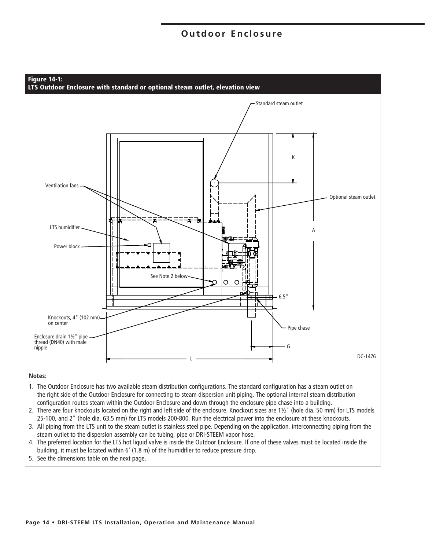![](_page_13_Figure_1.jpeg)

#### **Notes:**

- 1. The Outdoor Enclosure has two available steam distribution configurations. The standard configuration has a steam outlet on the right side of the Outdoor Enclosure for connecting to steam dispersion unit piping. The optional internal steam distribution configuration routes steam within the Outdoor Enclosure and down through the enclosure pipe chase into a building.
- 2. There are four knockouts located on the right and left side of the enclosure. Knockout sizes are 1½" (hole dia. 50 mm) for LTS models 25-100, and 2" (hole dia. 63.5 mm) for LTS models 200-800. Run the electrical power into the enclosure at these knockouts.
- 3. All piping from the LTS unit to the steam outlet is stainless steel pipe. Depending on the application, interconnecting piping from the steam outlet to the dispersion assembly can be tubing, pipe or DRI-STEEM vapor hose.
- 4. The preferred location for the LTS hot liquid valve is inside the Outdoor Enclosure. If one of these valves must be located inside the building, it must be located within 6' (1.8 m) of the humidifier to reduce pressure drop.
- 5. See the dimensions table on the next page.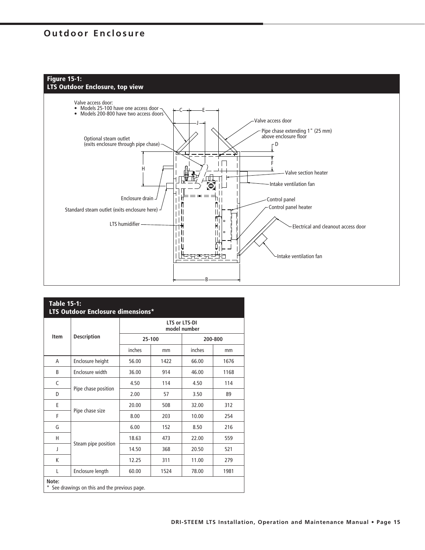### **Figure 15-1: LTS Outdoor Enclosure, top view**

![](_page_14_Figure_2.jpeg)

| <b>Table 15-1:</b><br>LTS Outdoor Enclosure dimensions* |                                             |                               |        |        |         |  |
|---------------------------------------------------------|---------------------------------------------|-------------------------------|--------|--------|---------|--|
|                                                         |                                             | LTS or LTS-DI<br>model number |        |        |         |  |
| Item                                                    | <b>Description</b>                          |                               | 25-100 |        | 200-800 |  |
|                                                         |                                             | inches                        | mm     | inches | mm      |  |
| A                                                       | Enclosure height                            | 56.00                         | 1422   | 66.00  | 1676    |  |
| B                                                       | Enclosure width                             | 36.00                         | 914    | 46.00  | 1168    |  |
| C                                                       |                                             | 4.50                          | 114    | 4.50   | 114     |  |
| D                                                       | Pipe chase position                         | 2.00                          | 57     | 3.50   | 89      |  |
| E                                                       |                                             | 20.00                         | 508    | 32.00  | 312     |  |
| F                                                       | Pipe chase size                             | 8.00                          | 203    | 10.00  | 254     |  |
| G                                                       |                                             | 6.00                          | 152    | 8.50   | 216     |  |
| н                                                       |                                             | 18.63                         | 473    | 22.00  | 559     |  |
| J                                                       | Steam pipe position                         | 14.50                         | 368    | 20.50  | 521     |  |
| K                                                       |                                             | 12.25                         | 311    | 11.00  | 279     |  |
| L                                                       | Enclosure length                            | 60.00                         | 1524   | 78.00  | 1981    |  |
| Note:<br>*                                              | See drawings on this and the previous page. |                               |        |        |         |  |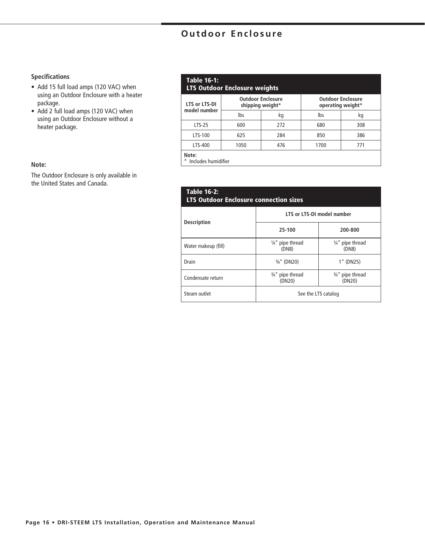### **Specifications**

- Add 15 full load amps (120 VAC) when using an Outdoor Enclosure with a heater package.
- Add 2 full load amps (120 VAC) when using an Outdoor Enclosure without a heater package.

### **Note:**

The Outdoor Enclosure is only available in the United States and Canada.

### **Table 16-1:**

### **LTS Outdoor Enclosure weights**

| LTS or LTS-DI                  |      | <b>Outdoor Enclosure</b><br>shipping weight* | <b>Outdoor Enclosure</b><br>operating weight* |     |  |
|--------------------------------|------|----------------------------------------------|-----------------------------------------------|-----|--|
| model number                   | lbs  | kg                                           | lbs                                           | kq  |  |
| LTS-25                         | 600  | 272                                          | 680                                           | 308 |  |
| LTS-100                        | 625  | 284                                          | 850                                           | 386 |  |
| LTS-400                        | 1050 | 476                                          | 1700                                          | 771 |  |
| Note:<br>* Includes bumidifier |      |                                              |                                               |     |  |

Includes humidifier

| <b>Table 16-2:</b><br><b>LTS Outdoor Enclosure connection sizes</b> |                                                                                |                                      |  |  |  |
|---------------------------------------------------------------------|--------------------------------------------------------------------------------|--------------------------------------|--|--|--|
|                                                                     | LTS or LTS-DI model number<br><b>Description</b>                               |                                      |  |  |  |
|                                                                     | 25-100                                                                         | 200-800                              |  |  |  |
| Water makeup (fill)                                                 | $\frac{1}{4}$ " pipe thread<br>(DN8)                                           | $\frac{1}{4}$ " pipe thread<br>(DN8) |  |  |  |
| Drain                                                               | $\frac{3}{4}$ " (DN20)                                                         | 1" (DN25)                            |  |  |  |
| Condensate return                                                   | $\frac{3}{4}$ " pipe thread<br>$\frac{3}{4}$ " pipe thread<br>(DN20)<br>(DN20) |                                      |  |  |  |
| Steam outlet                                                        | See the LTS catalog                                                            |                                      |  |  |  |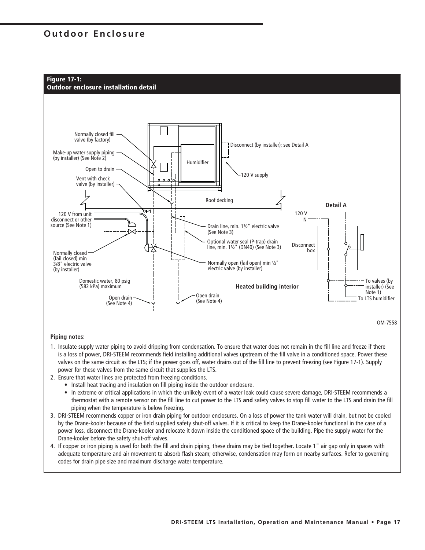**Figure 17-1:**

![](_page_16_Figure_2.jpeg)

![](_page_16_Figure_3.jpeg)

**Piping notes:**

- 1. Insulate supply water piping to avoid dripping from condensation. To ensure that water does not remain in the fill line and freeze if there is a loss of power, DRI-STEEM recommends field installing additional valves upstream of the fill valve in a conditioned space. Power these valves on the same circuit as the LTS; if the power goes off, water drains out of the fill line to prevent freezing (see Figure 17-1). Supply power for these valves from the same circuit that supplies the LTS.
- 2. Ensure that water lines are protected from freezing conditions.
	- Install heat tracing and insulation on fill piping inside the outdoor enclosure.
	- In extreme or critical applications in which the unlikely event of a water leak could cause severe damage, DRI-STEEM recommends a thermostat with a remote sensor on the fill line to cut power to the LTS **and** safety valves to stop fill water to the LTS and drain the fill piping when the temperature is below freezing.
- 3. DRI-STEEM recommends copper or iron drain piping for outdoor enclosures. On a loss of power the tank water will drain, but not be cooled by the Drane-kooler because of the field supplied safety shut-off valves. If it is critical to keep the Drane-kooler functional in the case of a power loss, disconnect the Drane-kooler and relocate it down inside the conditioned space of the building. Pipe the supply water for the Drane-kooler before the safety shut-off valves.
- 4. If copper or iron piping is used for both the fill and drain piping, these drains may be tied together. Locate 1" air gap only in spaces with adequate temperature and air movement to absorb flash steam; otherwise, condensation may form on nearby surfaces. Refer to governing codes for drain pipe size and maximum discharge water temperature.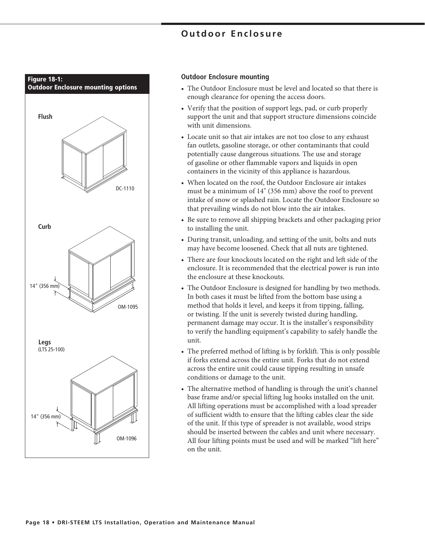![](_page_17_Figure_1.jpeg)

### **Outdoor Enclosure mounting**

- The Outdoor Enclosure must be level and located so that there is enough clearance for opening the access doors.
- Verify that the position of support legs, pad, or curb properly support the unit and that support structure dimensions coincide with unit dimensions.
- Locate unit so that air intakes are not too close to any exhaust fan outlets, gasoline storage, or other contaminants that could potentially cause dangerous situations. The use and storage of gasoline or other flammable vapors and liquids in open containers in the vicinity of this appliance is hazardous.
- When located on the roof, the Outdoor Enclosure air intakes must be a minimum of 14" (356 mm) above the roof to prevent intake of snow or splashed rain. Locate the Outdoor Enclosure so that prevailing winds do not blow into the air intakes.
- Be sure to remove all shipping brackets and other packaging prior to installing the unit.
- During transit, unloading, and setting of the unit, bolts and nuts may have become loosened. Check that all nuts are tightened.
- There are four knockouts located on the right and left side of the enclosure. It is recommended that the electrical power is run into the enclosure at these knockouts.
- The Outdoor Enclosure is designed for handling by two methods. In both cases it must be lifted from the bottom base using a method that holds it level, and keeps it from tipping, falling, or twisting. If the unit is severely twisted during handling, permanent damage may occur. It is the installer's responsibility to verify the handling equipment's capability to safely handle the unit.
- The preferred method of lifting is by forklift. This is only possible if forks extend across the entire unit. Forks that do not extend across the entire unit could cause tipping resulting in unsafe conditions or damage to the unit.
- The alternative method of handling is through the unit's channel base frame and/or special lifting lug hooks installed on the unit. All lifting operations must be accomplished with a load spreader of sufficient width to ensure that the lifting cables clear the side of the unit. If this type of spreader is not available, wood strips should be inserted between the cables and unit where necessary. All four lifting points must be used and will be marked "lift here" on the unit.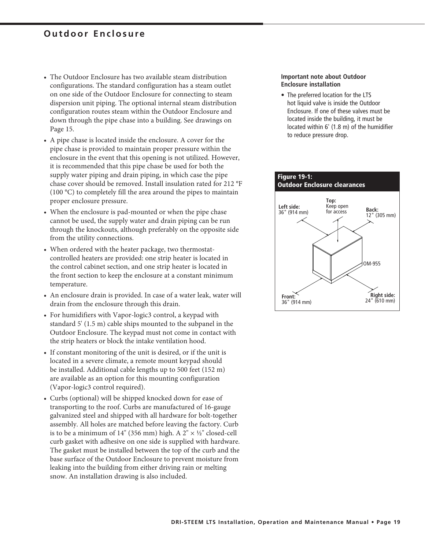- The Outdoor Enclosure has two available steam distribution configurations. The standard configuration has a steam outlet on one side of the Outdoor Enclosure for connecting to steam dispersion unit piping. The optional internal steam distribution configuration routes steam within the Outdoor Enclosure and down through the pipe chase into a building. See drawings on Page 15.
- A pipe chase is located inside the enclosure. A cover for the pipe chase is provided to maintain proper pressure within the enclosure in the event that this opening is not utilized. However, it is recommended that this pipe chase be used for both the supply water piping and drain piping, in which case the pipe chase cover should be removed. Install insulation rated for 212 °F  $(100 \, \text{°C})$  to completely fill the area around the pipes to maintain proper enclosure pressure.
- When the enclosure is pad-mounted or when the pipe chase cannot be used, the supply water and drain piping can be run through the knockouts, although preferably on the opposite side from the utility connections.
- When ordered with the heater package, two thermostatcontrolled heaters are provided: one strip heater is located in the control cabinet section, and one strip heater is located in the front section to keep the enclosure at a constant minimum temperature.
- An enclosure drain is provided. In case of a water leak, water will drain from the enclosure through this drain.
- For humidifiers with Vapor-logic3 control, a keypad with standard  $5'$  (1.5 m) cable ships mounted to the subpanel in the Outdoor Enclosure. The keypad must not come in contact with the strip heaters or block the intake ventilation hood.
- If constant monitoring of the unit is desired, or if the unit is located in a severe climate, a remote mount keypad should be installed. Additional cable lengths up to 500 feet (152 m) are available as an option for this mounting configuration (Vapor-logic3 control required).
- Curbs (optional) will be shipped knocked down for ease of transporting to the roof. Curbs are manufactured of 16-gauge galvanized steel and shipped with all hardware for bolt-together assembly. All holes are matched before leaving the factory. Curb is to be a minimum of 14" (356 mm) high. A  $2" \times \frac{1}{2}$ " closed-cell curb gasket with adhesive on one side is supplied with hardware. The gasket must be installed between the top of the curb and the base surface of the Outdoor Enclosure to prevent moisture from leaking into the building from either driving rain or melting snow. An installation drawing is also included.

#### **Important note about Outdoor Enclosure installation**

• The preferred location for the LTS hot liquid valve is inside the Outdoor Enclosure. If one of these valves must be located inside the building, it must be located within 6' (1.8 m) of the humidifier to reduce pressure drop.

![](_page_18_Figure_11.jpeg)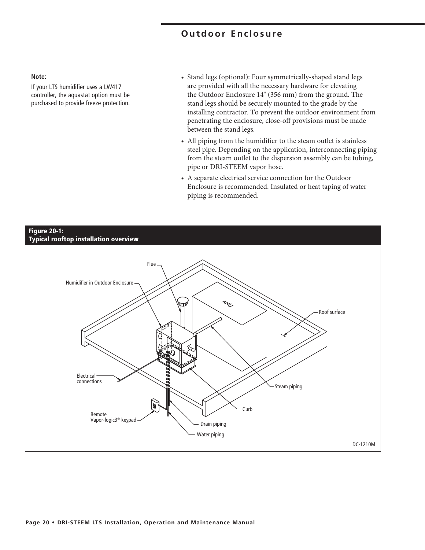#### **Note:**

If your LTS humidifier uses a LW417 controller, the aquastat option must be purchased to provide freeze protection.

- Stand legs (optional): Four symmetrically-shaped stand legs are provided with all the necessary hardware for elevating the Outdoor Enclosure 14" (356 mm) from the ground. The stand legs should be securely mounted to the grade by the installing contractor. To prevent the outdoor environment from penetrating the enclosure, close-off provisions must be made between the stand legs.
- All piping from the humidifier to the steam outlet is stainless steel pipe. Depending on the application, interconnecting piping from the steam outlet to the dispersion assembly can be tubing, pipe or DRI-STEEM vapor hose.
- A separate electrical service connection for the Outdoor Enclosure is recommended. Insulated or heat taping of water piping is recommended.

![](_page_19_Figure_6.jpeg)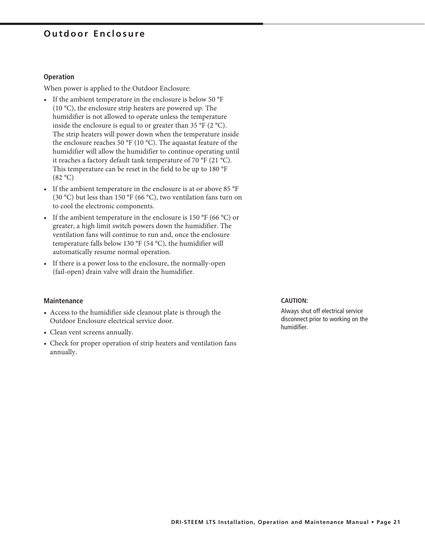### **Operation**

When power is applied to the Outdoor Enclosure:

- If the ambient temperature in the enclosure is below 50  $\mathrm{^oF}$ (10 °C), the enclosure strip heaters are powered up. The humidifier is not allowed to operate unless the temperature inside the enclosure is equal to or greater than 35 °F (2 °C). The strip heaters will power down when the temperature inside the enclosure reaches 50 °F (10 °C). The aquastat feature of the humidifier will allow the humidifier to continue operating until it reaches a factory default tank temperature of 70 °F (21 °C). This temperature can be reset in the field to be up to 180 °F  $(82 °C)$
- If the ambient temperature in the enclosure is at or above 85  $\mathrm{P}F$ (30 °C) but less than 150 °F (66 °C), two ventilation fans turn on to cool the electronic components.
- If the ambient temperature in the enclosure is  $150 \text{ °F}$  (66 °C) or greater, a high limit switch powers down the humidifier. The ventilation fans will continue to run and, once the enclosure temperature falls below 130  $\rm{^{\circ}F}$  (54  $\rm{^{\circ}C}$ ), the humidifier will automatically resume normal operation.
- If there is a power loss to the enclosure, the normally-open (fail-open) drain valve will drain the humidifier.

#### **Maintenance**

- Access to the humidifier side cleanout plate is through the Outdoor Enclosure electrical service door.
- Clean vent screens annually.
- Check for proper operation of strip heaters and ventilation fans annually.

#### **CAUTION:**

Always shut off electrical service disconnect prior to working on the humidifier.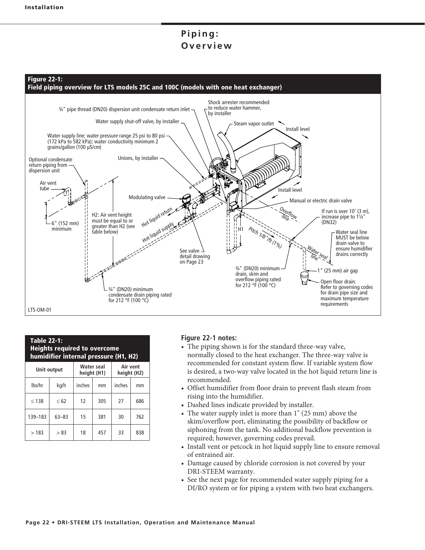## Piping: **Overview**

![](_page_21_Figure_2.jpeg)

| <b>Table 22-1:</b><br><b>Heights required to overcome</b><br>humidifier internal pressure (H1, H2) |           |        |     |        |     |  |
|----------------------------------------------------------------------------------------------------|-----------|--------|-----|--------|-----|--|
| Air vent<br><b>Water seal</b><br><b>Unit output</b><br>height (H1)<br>height (H2)                  |           |        |     |        |     |  |
| lbs/hr                                                                                             | kg/h      | inches | mm  | inches | mm  |  |
| < 138                                                                                              | < 62      | 12     | 305 | 27     | 686 |  |
| 139-183                                                                                            | $63 - 83$ | 15     | 381 | 30     | 762 |  |
| >183                                                                                               | > 83      | 18     | 457 | 33     | 838 |  |

### **Figure 22-1 notes:**

- The piping shown is for the standard three-way valve, normally closed to the heat exchanger. The three-way valve is recommended for constant system flow. If variable system flow is desired, a two-way valve located in the hot liquid return line is recommended.
- Offset humidifier from floor drain to prevent flash steam from rising into the humidifier.
- Dashed lines indicate provided by installer.
- The water supply inlet is more than 1" (25 mm) above the skim/overflow port, eliminating the possibility of backflow or siphoning from the tank. No additional backflow prevention is required; however, governing codes prevail.
- Install vent or petcock in hot liquid supply line to ensure removal of entrained air.
- Damage caused by chloride corrosion is not covered by your DRI-STEEM warranty.
- See the next page for recommended water supply piping for a DI/RO system or for piping a system with two heat exchangers.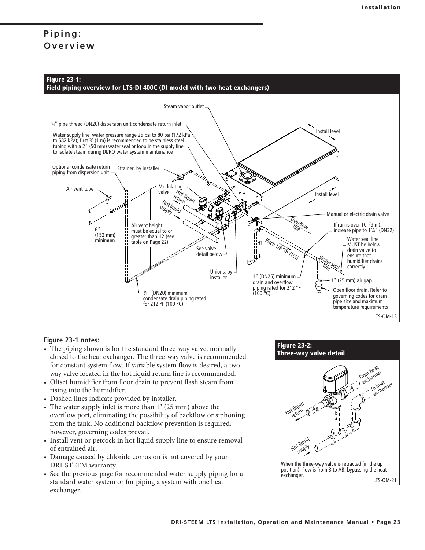## Piping: **Overview**

![](_page_22_Figure_2.jpeg)

### **Figure 23-1 notes:**

- The piping shown is for the standard three-way valve, normally closed to the heat exchanger. The three-way valve is recommended for constant system flow. If variable system flow is desired, a twoway valve located in the hot liquid return line is recommended.
- Offset humidifier from floor drain to prevent flash steam from rising into the humidifier.
- Dashed lines indicate provided by installer.
- The water supply inlet is more than 1" (25 mm) above the overflow port, eliminating the possibility of backflow or siphoning from the tank. No additional backflow prevention is required; however, governing codes prevail.
- Install vent or petcock in hot liquid supply line to ensure removal of entrained air.
- Damage caused by chloride corrosion is not covered by your DRI-STEEM warranty.
- See the previous page for recommended water supply piping for a standard water system or for piping a system with one heat exchanger.

![](_page_22_Figure_11.jpeg)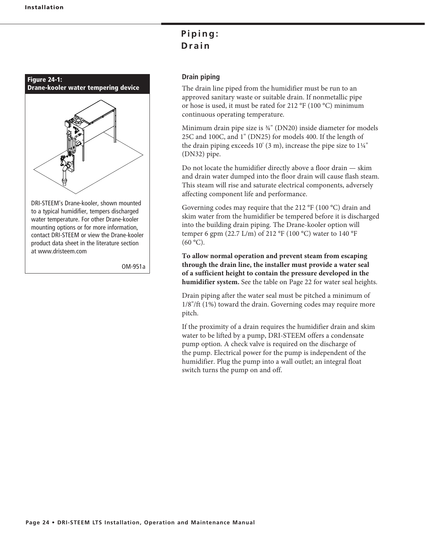![](_page_23_Picture_1.jpeg)

at www.dristeem.com

OM-951a

## Piping: D<sub>rain</sub>

### **Drain piping**

The drain line piped from the humidifier must be run to an approved sanitary waste or suitable drain. If nonmetallic pipe or hose is used, it must be rated for 212  $\rm{^oF}$  (100  $\rm{^oC}$ ) minimum continuous operating temperature.

Minimum drain pipe size is ¾" (DN20) inside diameter for models 25C and 100C, and 1" (DN25) for models 400. If the length of the drain piping exceeds  $10'$  (3 m), increase the pipe size to  $1\frac{1}{4}$ " (DN32) pipe.

Do not locate the humidifier directly above a floor drain  $-$  skim and drain water dumped into the floor drain will cause flash steam. This steam will rise and saturate electrical components, adversely affecting component life and performance.

Governing codes may require that the 212  $\rm{^oF}$  (100  $\rm{^oC}$ ) drain and skim water from the humidifier be tempered before it is discharged into the building drain piping. The Drane-kooler option will temper 6 gpm (22.7 L/m) of 212 °F (100 °C) water to 140 °F  $(60 °C)$ .

**To allow normal operation and prevent steam from escaping through the drain line, the installer must provide a water seal of a sufficient height to contain the pressure developed in the humidifier system.** See the table on Page 22 for water seal heights.

Drain piping after the water seal must be pitched a minimum of 1/8"/ft (1%) toward the drain. Governing codes may require more pitch.

If the proximity of a drain requires the humidifier drain and skim water to be lifted by a pump, DRI-STEEM offers a condensate pump option. A check valve is required on the discharge of the pump. Electrical power for the pump is independent of the humidifier. Plug the pump into a wall outlet; an integral float switch turns the pump on and off.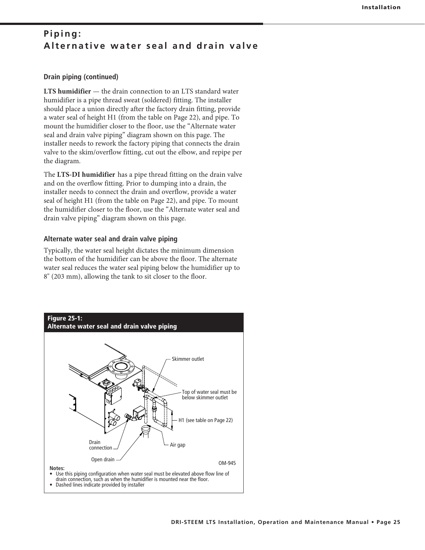### Piping: **Alternative water seal and drain valve**

### **Drain piping (continued)**

**LTS humidifier** — the drain connection to an LTS standard water humidifier is a pipe thread sweat (soldered) fitting. The installer should place a union directly after the factory drain fitting, provide a water seal of height H1 (from the table on Page 22), and pipe. To mount the humidifier closer to the floor, use the "Alternate water seal and drain valve piping" diagram shown on this page. The installer needs to rework the factory piping that connects the drain valve to the skim/overflow fitting, cut out the elbow, and repipe per the diagram.

The **LTS-DI humidifier** has a pipe thread fitting on the drain valve and on the overflow fitting. Prior to dumping into a drain, the installer needs to connect the drain and overflow, provide a water seal of height H1 (from the table on Page 22), and pipe. To mount the humidifier closer to the floor, use the "Alternate water seal and drain valve piping" diagram shown on this page.

### **Alternate water seal and drain valve piping**

Typically, the water seal height dictates the minimum dimension the bottom of the humidifier can be above the floor. The alternate water seal reduces the water seal piping below the humidifier up to 8" (203 mm), allowing the tank to sit closer to the floor.

![](_page_24_Figure_7.jpeg)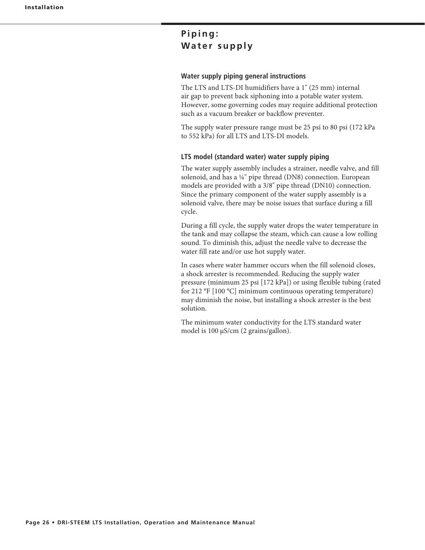## Piping: **Water supply**

### **Water supply piping general instructions**

The LTS and LTS-DI humidifiers have a 1" (25 mm) internal air gap to prevent back siphoning into a potable water system. However, some governing codes may require additional protection such as a vacuum breaker or backflow preventer.

The supply water pressure range must be 25 psi to 80 psi (172 kPa to 552 kPa) for all LTS and LTS-DI models.

### **LTS model (standard water) water supply piping**

The water supply assembly includes a strainer, needle valve, and fill solenoid, and has a ¼" pipe thread (DN8) connection. European models are provided with a 3/8" pipe thread (DN10) connection. Since the primary component of the water supply assembly is a solenoid valve, there may be noise issues that surface during a fill cycle.

During a fill cycle, the supply water drops the water temperature in the tank and may collapse the steam, which can cause a low rolling sound. To diminish this, adjust the needle valve to decrease the water fill rate and/or use hot supply water.

In cases where water hammer occurs when the fill solenoid closes, a shock arrester is recommended. Reducing the supply water pressure (minimum 25 psi [172 kPa]) or using flexible tubing (rated for 212 °F  $[100 °C]$  minimum continuous operating temperature) may diminish the noise, but installing a shock arrester is the best solution.

The minimum water conductivity for the LTS standard water model is  $100 \mu s/cm$  (2 grains/gallon).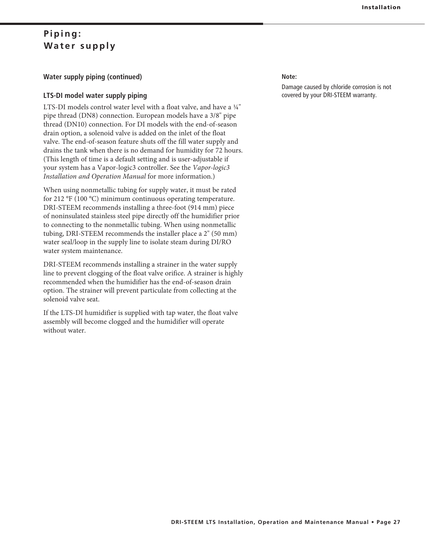### Piping: **Water supply**

### **Water supply piping (continued)**

### **LTS-DI model water supply piping**

LTS-DI models control water level with a float valve, and have a  $\frac{1}{4}$ " pipe thread (DN8) connection. European models have a 3/8" pipe thread (DN10) connection. For DI models with the end-of-season drain option, a solenoid valve is added on the inlet of the float valve. The end-of-season feature shuts off the fill water supply and drains the tank when there is no demand for humidity for 72 hours. (This length of time is a default setting and is user-adjustable if your system has a Vapor-logic3 controller. See the *Vapor-logic3 Installation and Operation Manual* for more information.)

When using nonmetallic tubing for supply water, it must be rated for 212  $\rm{PF}$  (100 °C) minimum continuous operating temperature. DRI-STEEM recommends installing a three-foot (914 mm) piece of noninsulated stainless steel pipe directly off the humidifier prior to connecting to the nonmetallic tubing. When using nonmetallic tubing, DRI-STEEM recommends the installer place a 2" (50 mm) water seal/loop in the supply line to isolate steam during DI/RO water system maintenance.

DRI-STEEM recommends installing a strainer in the water supply line to prevent clogging of the float valve orifice. A strainer is highly recommended when the humidifier has the end-of-season drain option. The strainer will prevent particulate from collecting at the solenoid valve seat.

If the LTS-DI humidifier is supplied with tap water, the float valve assembly will become clogged and the humidifier will operate without water.

### **Note:**

Damage caused by chloride corrosion is not covered by your DRI-STEEM warranty.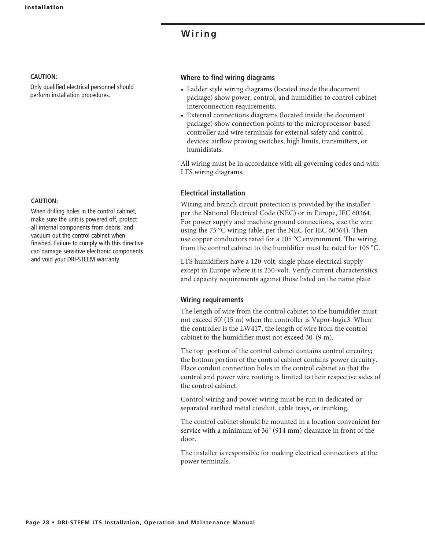### **Wiring**

### **CAUTION:**

Only qualified electrical personnel should perform installation procedures.

### **CAUTION:**

When drilling holes in the control cabinet, make sure the unit is powered off, protect all internal components from debris, and vacuum out the control cabinet when finished. Failure to comply with this directive can damage sensitive electronic components and void your DRI-STEEM warranty.

#### **Where to find wiring diagrams**

- Ladder style wiring diagrams (located inside the document package) show power, control, and humidifier to control cabinet interconnection requirements.
- External connections diagrams (located inside the document package) show connection points to the microprocessor-based controller and wire terminals for external safety and control devices: airflow proving switches, high limits, transmitters, or humidistats.

All wiring must be in accordance with all governing codes and with LTS wiring diagrams.

### **Electrical installation**

Wiring and branch circuit protection is provided by the installer per the National Electrical Code (NEC) or in Europe, IEC 60364. For power supply and machine ground connections, size the wire using the 75 °C wiring table, per the NEC (or IEC 60364). Then use copper conductors rated for a 105 °C environment. The wiring from the control cabinet to the humidifier must be rated for 105 °C.

LTS humidifiers have a 120-volt, single phase electrical supply except in Europe where it is 230-volt. Verify current characteristics and capacity requirements against those listed on the name plate.

#### **Wiring requirements**

The length of wire from the control cabinet to the humidifier must not exceed 50' (15 m) when the controller is Vapor-logic3. When the controller is the LW417, the length of wire from the control cabinet to the humidifier must not exceed  $30'$  (9 m).

The top portion of the control cabinet contains control circuitry; the bottom portion of the control cabinet contains power circuitry. Place conduit connection holes in the control cabinet so that the control and power wire routing is limited to their respective sides of the control cabinet.

Control wiring and power wiring must be run in dedicated or separated earthed metal conduit, cable trays, or trunking.

The control cabinet should be mounted in a location convenient for service with a minimum of 36" (914 mm) clearance in front of the door.

The installer is responsible for making electrical connections at the power terminals.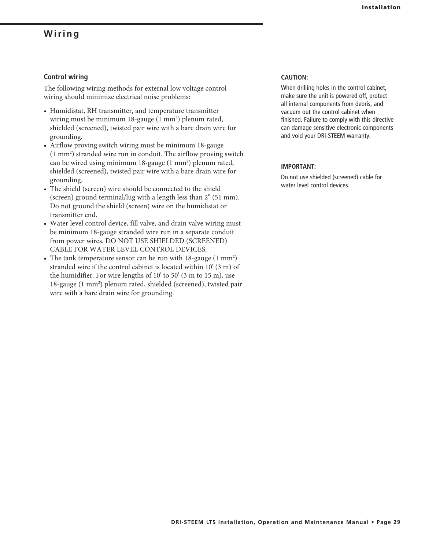### **Wiring**

### **Control wiring**

The following wiring methods for external low voltage control wiring should minimize electrical noise problems:

- Humidistat, RH transmitter, and temperature transmitter wiring must be minimum  $18$ -gauge  $(1 \text{ mm}^2)$  plenum rated, shielded (screened), twisted pair wire with a bare drain wire for grounding.
- Airflow proving switch wiring must be minimum 18-gauge (1 mm<sup>2</sup>) stranded wire run in conduit. The airflow proving switch can be wired using minimum  $18$ -gauge  $(1 \text{ mm}^2)$  plenum rated, shielded (screened), twisted pair wire with a bare drain wire for grounding.
- The shield (screen) wire should be connected to the shield (screen) ground terminal/lug with a length less than  $2^{\prime\prime}$  (51 mm). Do not ground the shield (screen) wire on the humidistat or transmitter end.
- Water level control device, fill valve, and drain valve wiring must be minimum 18-gauge stranded wire run in a separate conduit from power wires. DO NOT USE SHIELDED (SCREENED) CABLE FOR WATER LEVEL CONTROL DEVICES.
- The tank temperature sensor can be run with  $18$ -gauge  $(1 \text{ mm}^2)$ stranded wire if the control cabinet is located within 10' (3 m) of the humidifier. For wire lengths of  $10'$  to  $50'$  (3 m to  $15$  m), use 18-gauge (1 mm<sup>2</sup>) plenum rated, shielded (screened), twisted pair wire with a bare drain wire for grounding.

### **CAUTION:**

When drilling holes in the control cabinet, make sure the unit is powered off, protect all internal components from debris, and vacuum out the control cabinet when finished. Failure to comply with this directive can damage sensitive electronic components and void your DRI-STEEM warranty.

#### **IMPORTANT:**

Do not use shielded (screened) cable for water level control devices.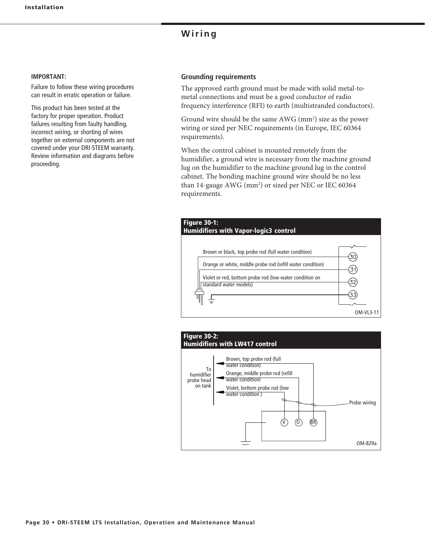### **Wiring**

#### **IMPORTANT:**

Failure to follow these wiring procedures can result in erratic operation or failure.

This product has been tested at the factory for proper operation. Product failures resulting from faulty handling, incorrect wiring, or shorting of wires together on external components are not covered under your DRI-STEEM warranty. Review information and diagrams before proceeding.

### **Grounding requirements**

The approved earth ground must be made with solid metal-tometal connections and must be a good conductor of radio frequency interference (RFI) to earth (multistranded conductors).

Ground wire should be the same  $AWG$  (mm<sup>2</sup>) size as the power wiring or sized per NEC requirements (in Europe, IEC 60364 requirements).

When the control cabinet is mounted remotely from the humidifier, a ground wire is necessary from the machine ground lug on the humidifier to the machine ground lug in the control cabinet. The bonding machine ground wire should be no less than 14-gauge AWG (mm<sup>2</sup>) or sized per NEC or IEC 60364 requirements.

![](_page_29_Figure_9.jpeg)

![](_page_29_Figure_10.jpeg)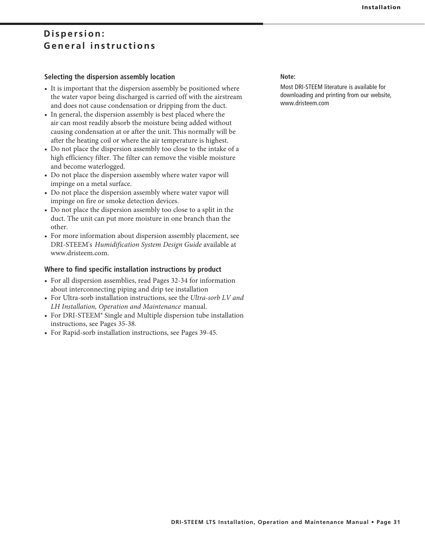### Dispersion: **General instructions**

### **Selecting the dispersion assembly location**

- It is important that the dispersion assembly be positioned where the water vapor being discharged is carried off with the airstream and does not cause condensation or dripping from the duct.
- In general, the dispersion assembly is best placed where the air can most readily absorb the moisture being added without causing condensation at or after the unit. This normally will be after the heating coil or where the air temperature is highest.
- Do not place the dispersion assembly too close to the intake of a high efficiency filter. The filter can remove the visible moisture and become waterlogged.
- Do not place the dispersion assembly where water vapor will impinge on a metal surface.
- Do not place the dispersion assembly where water vapor will impinge on fire or smoke detection devices.
- Do not place the dispersion assembly too close to a split in the duct. The unit can put more moisture in one branch than the other.
- For more information about dispersion assembly placement, see DRI-STEEM's *Humidification System Design Guide* available at www.dristeem.com.

### **Where to find specific installation instructions by product**

- For all dispersion assemblies, read Pages 32-34 for information about interconnecting piping and drip tee installation
- For Ultra-sorb installation instructions, see the Ultra-sorb LV and *LH Installation, Operation and Maintenance* manual.
- For DRI-STEEM® Single and Multiple dispersion tube installation instructions, see Pages 35-38.
- For Rapid-sorb installation instructions, see Pages 39-45.

**Note:**

Most DRI-STEEM literature is available for downloading and printing from our website, www.dristeem.com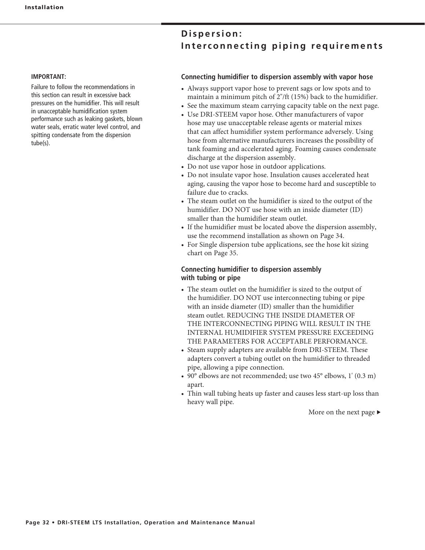### Dispersion: Interconnecting piping requirements

#### **IMPORTANT:**

Failure to follow the recommendations in this section can result in excessive back pressures on the humidifier. This will result in unacceptable humidification system performance such as leaking gaskets, blown water seals, erratic water level control, and spitting condensate from the dispersion tube(s).

### **Connecting humidifier to dispersion assembly with vapor hose**

- Always support vapor hose to prevent sags or low spots and to maintain a minimum pitch of 2"/ft (15%) back to the humidifier.
- See the maximum steam carrying capacity table on the next page.
- Use DRI-STEEM vapor hose. Other manufacturers of vapor hose may use unacceptable release agents or material mixes that can affect humidifier system performance adversely. Using hose from alternative manufacturers increases the possibility of tank foaming and accelerated aging. Foaming causes condensate discharge at the dispersion assembly.
- Do not use vapor hose in outdoor applications.
- Do not insulate vapor hose. Insulation causes accelerated heat aging, causing the vapor hose to become hard and susceptible to failure due to cracks.
- The steam outlet on the humidifier is sized to the output of the humidifier. DO NOT use hose with an inside diameter (ID) smaller than the humidifier steam outlet.
- If the humidifier must be located above the dispersion assembly, use the recommend installation as shown on Page 34.
- For Single dispersion tube applications, see the hose kit sizing chart on Page 35.

### **Connecting humidifier to dispersion assembly with tubing or pipe**

- The steam outlet on the humidifier is sized to the output of the humidifier. DO NOT use interconnecting tubing or pipe with an inside diameter (ID) smaller than the humidifier steam outlet. REDUCING THE INSIDE DIAMETER OF THE INTERCONNECTING PIPING WILL RESULT IN THE INTERNAL HUMIDIFIER SYSTEM PRESSURE EXCEEDING THE PARAMETERS FOR ACCEPTABLE PERFORMANCE.
- Steam supply adapters are available from DRI-STEEM. These adapters convert a tubing outlet on the humidifier to threaded pipe, allowing a pipe connection.
- 90 $\degree$  elbows are not recommended; use two 45 $\degree$  elbows, 1' (0.3 m) apart.
- Thin wall tubing heats up faster and causes less start-up loss than heavy wall pipe.

More on the next page  $\blacktriangleright$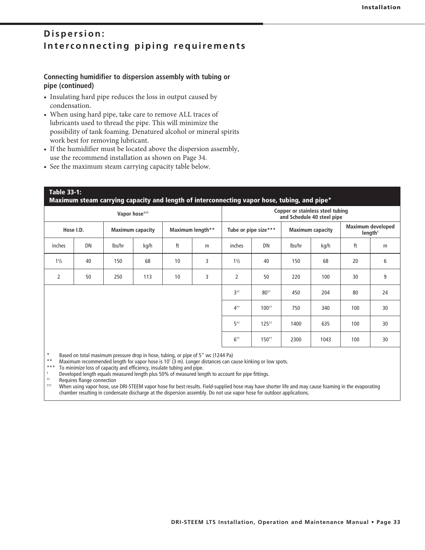### Dispersion: Interconnecting piping requirements

### **Connecting humidifier to dispersion assembly with tubing or pipe (continued)**

- Insulating hard pipe reduces the loss in output caused by condensation.
- When using hard pipe, take care to remove ALL traces of lubricants used to thread the pipe. This will minimize the possibility of tank foaming. Denatured alcohol or mineral spirits work best for removing lubricant.
- If the humidifier must be located above the dispersion assembly, use the recommend installation as shown on Page 34.
- See the maximum steam carrying capacity table below.

## **Table 33-1: Maximum steam carrying capacity and length of interconnecting vapor hose, tubing, and pipe\* Vapor hose††† Copper or stainless steel tubing and Schedule 40 steel pipe Hose I.D. Maximum capacity Maximum length\*\* Tube or pipe size\*\*\* Maximum capacity Maximum developed length†** inches | DN | Ibs/hr | kg/h | ft | m | inches | DN | Ibs/hr | kg/h | ft | m 1½ | 40 | 150 | 68 | 10 | 3 | 1½ | 40 | 150 | 68 | 20 | 6 2 | 50 | 250 | 113 | 10 | 3 | 2 | 50 | 220 | 100 | 30 | 9 3†† 80†† 450 204 80 24 4†† 100†† 750 340 100 30 5†† 125†† 1400 635 100 30  $6$ <sup>††</sup> | 150<sup>††</sup> | 2300 | 1043 | 100 | 30

\* Based on total maximum pressure drop in hose, tubing, or pipe of 5" wc (1244 Pa)

\*\* Maximum recommended length for vapor hose is 10' (3 m). Longer distances can cause kinking or low spots.<br>\*\*\* To minimize loss of capacity and efficiency insulate tubing and nine.

To minimize loss of capacity and efficiency, insulate tubing and pipe.

†  $\frac{1}{1}$  Developed length equals measured length plus 50% of measured length to account for pipe fittings.

<sup>††</sup> Requires flange connection<br><sup>†††</sup> When using vanes bese use

††† When using vapor hose, use DRI-STEEM vapor hose for best results. Field-supplied hose may have shorter life and may cause foaming in the evaporating chamber resulting in condensate discharge at the dispersion assembly. Do not use vapor hose for outdoor applications.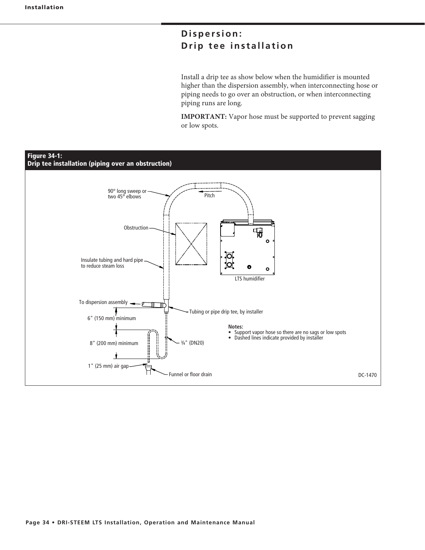## Dispersion: **Drip tee installation**

Install a drip tee as show below when the humidifier is mounted higher than the dispersion assembly, when interconnecting hose or piping needs to go over an obstruction, or when interconnecting piping runs are long.

**IMPORTANT:** Vapor hose must be supported to prevent sagging or low spots.

![](_page_33_Figure_4.jpeg)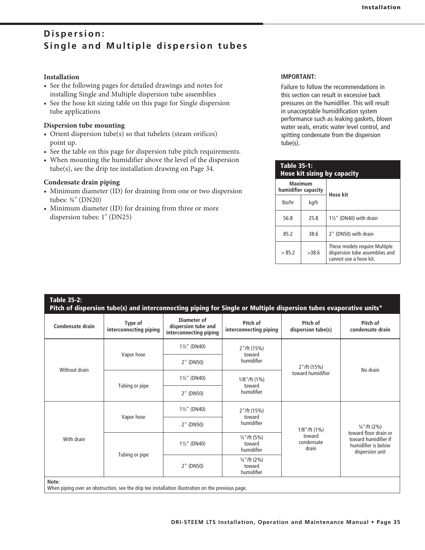### **Installation**

- See the following pages for detailed drawings and notes for installing Single and Multiple dispersion tube assemblies
- See the hose kit sizing table on this page for Single dispersion tube applications

### **Dispersion tube mounting**

- Orient dispersion tube(s) so that tubelets (steam orifices) point up.
- See the table on this page for dispersion tube pitch requirements.
- When mounting the humidifier above the level of the dispersion  $tube(s)$ , see the drip tee installation drawing on Page 34.

### **Condensate drain piping**

- Minimum diameter (ID) for draining from one or two dispersion tubes: ¾" (DN20)
- Minimum diameter (ID) for draining from three or more dispersion tubes: 1" (DN25)

### **IMPORTANT:**

Failure to follow the recommendations in this section can result in excessive back pressures on the humidifier. This will result in unacceptable humidification system performance such as leaking gaskets, blown water seals, erratic water level control, and spitting condensate from the dispersion tube(s).

| <b>Table 35-1:</b><br><b>Hose kit sizing by capacity</b> |                                       |                                                                                           |  |  |  |  |  |
|----------------------------------------------------------|---------------------------------------|-------------------------------------------------------------------------------------------|--|--|--|--|--|
|                                                          | <b>Maximum</b><br>humidifier capacity | Hose kit                                                                                  |  |  |  |  |  |
| lbs/hr                                                   | kg/h                                  |                                                                                           |  |  |  |  |  |
| 56.8<br>25.8                                             |                                       | $1\frac{1}{2}$ " (DN40) with drain                                                        |  |  |  |  |  |
| 85.2                                                     | 38.6                                  | 2" (DN50) with drain                                                                      |  |  |  |  |  |
| > 85.2                                                   | >38.6                                 | These models require Multiple<br>dispersion tube assemblies and<br>cannot use a hose kit. |  |  |  |  |  |

| Table 35-2:<br>Pitch of dispersion tube(s) and interconnecting piping for Single or Multiple dispersion tubes evaporative units* |                                   |                                                              |                                                 |                                     |                                                                                                                    |  |  |  |  |
|----------------------------------------------------------------------------------------------------------------------------------|-----------------------------------|--------------------------------------------------------------|-------------------------------------------------|-------------------------------------|--------------------------------------------------------------------------------------------------------------------|--|--|--|--|
| Condensate drain                                                                                                                 | Type of<br>interconnecting piping | Diameter of<br>dispersion tube and<br>interconnecting piping | Pitch of<br>interconnecting piping              | Pitch of<br>dispersion tube(s)      | Pitch of<br>condensate drain                                                                                       |  |  |  |  |
|                                                                                                                                  |                                   | $1\frac{1}{2}$ " (DN40)                                      | 2"/ft (15%)<br>toward                           |                                     | No drain                                                                                                           |  |  |  |  |
| Without drain                                                                                                                    | Vapor hose                        | 2" (DN50)                                                    | humidifier                                      | $2"$ /ft (15%)<br>toward humidifier |                                                                                                                    |  |  |  |  |
|                                                                                                                                  | Tubing or pipe                    | $1\frac{1}{2}$ " (DN40)                                      | $1/8$ "/ft $(1%)$<br>toward<br>humidifier       |                                     |                                                                                                                    |  |  |  |  |
|                                                                                                                                  |                                   | 2" (DN50)                                                    |                                                 |                                     |                                                                                                                    |  |  |  |  |
| With drain                                                                                                                       | Vapor hose                        | $1\frac{1}{2}$ " (DN40)                                      | 2''/ft(15%)<br>toward                           | $1/8$ "/ft $(1%)$                   | $\frac{1}{4}$ "/ft (2%)<br>toward floor drain or<br>toward humidifier if<br>humidifier is below<br>dispersion unit |  |  |  |  |
|                                                                                                                                  |                                   | 2" (DN50)                                                    | humidifier                                      |                                     |                                                                                                                    |  |  |  |  |
|                                                                                                                                  |                                   | $1\frac{1}{2}$ " (DN40)                                      | $\frac{1}{2}$ "/ft (5%)<br>toward<br>humidifier | toward<br>condensate<br>drain       |                                                                                                                    |  |  |  |  |
|                                                                                                                                  | Tubing or pipe                    | 2" (DN50)                                                    | $\frac{1}{4}$ "/ft (2%)<br>toward<br>humidifier |                                     |                                                                                                                    |  |  |  |  |
| Note:<br>When piping over an obstruction, see the drip tee installation illustration on the previous page.                       |                                   |                                                              |                                                 |                                     |                                                                                                                    |  |  |  |  |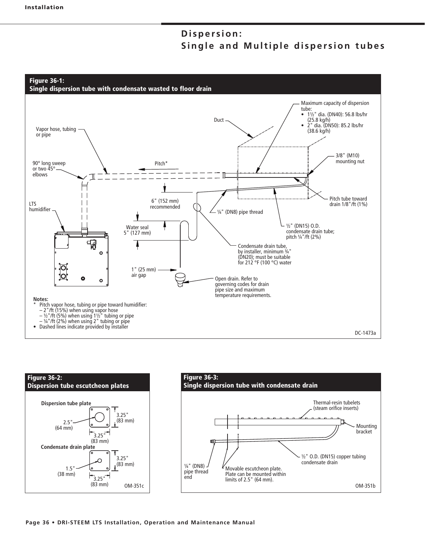![](_page_35_Figure_2.jpeg)

![](_page_35_Figure_3.jpeg)

![](_page_35_Figure_4.jpeg)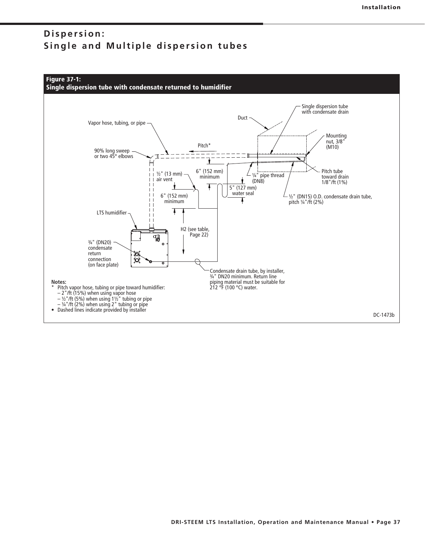![](_page_36_Figure_2.jpeg)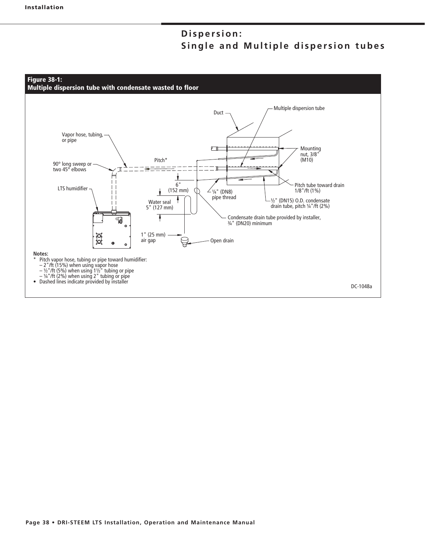![](_page_37_Figure_2.jpeg)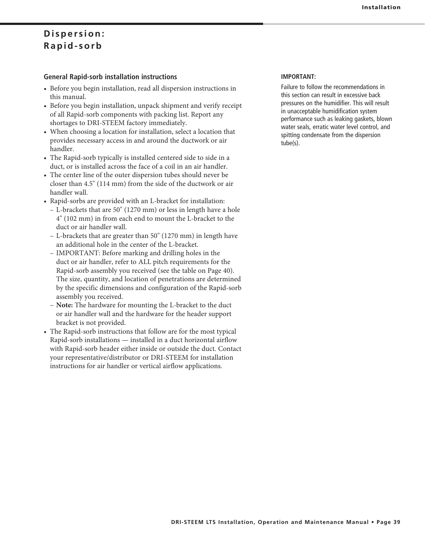### **General Rapid-sorb installation instructions**

- Before you begin installation, read all dispersion instructions in this manual.
- Before you begin installation, unpack shipment and verify receipt of all Rapid-sorb components with packing list. Report any shortages to DRI-STEEM factory immediately.
- When choosing a location for installation, select a location that provides necessary access in and around the ductwork or air handler.
- The Rapid-sorb typically is installed centered side to side in a duct, or is installed across the face of a coil in an air handler.
- The center line of the outer dispersion tubes should never be closer than  $4.5$ " (114 mm) from the side of the ductwork or air handler wall.
- Rapid-sorbs are provided with an L-bracket for installation:
- L-brackets that are 50" (1270 mm) or less in length have a hole 4" (102 mm) in from each end to mount the L-bracket to the duct or air handler wall.
- L-brackets that are greater than  $50^{\circ}$  (1270 mm) in length have an additional hole in the center of the L-bracket.
	- IMPORTANT: Before marking and drilling holes in the duct or air handler, refer to ALL pitch requirements for the Rapid-sorb assembly you received (see the table on Page 40). The size, quantity, and location of penetrations are determined by the specific dimensions and configuration of the Rapid-sorb assembly you received.
	- **Note:** The hardware for mounting the L-bracket to the duct or air handler wall and the hardware for the header support bracket is not provided.
- The Rapid-sorb instructions that follow are for the most typical Rapid-sorb installations — installed in a duct horizontal airflow with Rapid-sorb header either inside or outside the duct. Contact your representative/distributor or DRI-STEEM for installation instructions for air handler or vertical airflow applications.

### **IMPORTANT:**

Failure to follow the recommendations in this section can result in excessive back pressures on the humidifier. This will result in unacceptable humidification system performance such as leaking gaskets, blown water seals, erratic water level control, and spitting condensate from the dispersion tube(s).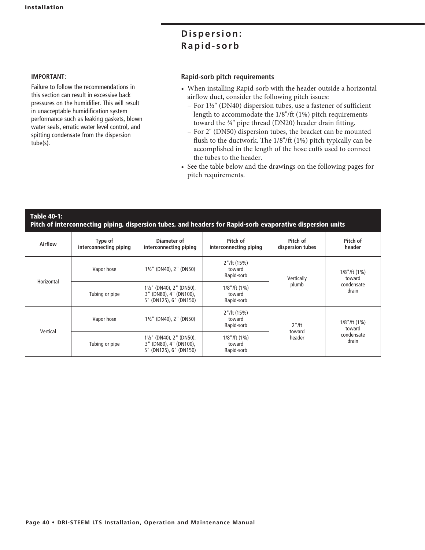### **IMPORTANT:**

Failure to follow the recommendations in this section can result in excessive back pressures on the humidifier. This will result in unacceptable humidification system performance such as leaking gaskets, blown water seals, erratic water level control, and spitting condensate from the dispersion tube(s).

### **Rapid-sorb pitch requirements**

- When installing Rapid-sorb with the header outside a horizontal airflow duct, consider the following pitch issues:
- For  $1\frac{1}{2}$ " (DN40) dispersion tubes, use a fastener of sufficient length to accommodate the 1/8"/ft (1%) pitch requirements toward the  $\frac{3}{4}$ " pipe thread (DN20) header drain fitting.
- For 2" (DN50) dispersion tubes, the bracket can be mounted flush to the ductwork. The 1/8"/ft (1%) pitch typically can be accomplished in the length of the hose cuffs used to connect the tubes to the header.
- See the table below and the drawings on the following pages for pitch requirements.

### **Table 40-1: Pitch of interconnecting piping, dispersion tubes, and headers for Rapid-sorb evaporative dispersion units**

| Airflow    | Type of<br>interconnecting piping | Diameter of<br>interconnecting piping                                                   | Pitch of<br>interconnecting piping        | Pitch of<br>dispersion tubes | Pitch of<br>header                                 |
|------------|-----------------------------------|-----------------------------------------------------------------------------------------|-------------------------------------------|------------------------------|----------------------------------------------------|
|            | Vapor hose                        | $1\frac{1}{2}$ " (DN40), 2" (DN50)                                                      | 2''/ft(15%)<br>toward<br>Rapid-sorb       | Vertically                   | $1/8$ "/ft $(1%)$<br>toward                        |
| Horizontal | Tubing or pipe                    | $1\frac{1}{2}$ " (DN40), 2" (DN50),<br>3" (DN80), 4" (DN100),<br>5" (DN125), 6" (DN150) | $1/8$ "/ft $(1%)$<br>toward<br>Rapid-sorb | plumb                        | condensate<br>drain                                |
| Vertical   | Vapor hose                        | $1\frac{1}{2}$ " (DN40), 2" (DN50)                                                      | 2''/ft(15%)<br>toward<br>Rapid-sorb       | $2"$ /ft                     | $1/8$ "/ft $(1%)$<br>toward<br>condensate<br>drain |
|            | Tubing or pipe                    | $1\frac{1}{2}$ " (DN40), 2" (DN50),<br>3" (DN80), 4" (DN100),<br>5" (DN125), 6" (DN150) | $1/8$ "/ft $(1%)$<br>toward<br>Rapid-sorb | toward<br>header             |                                                    |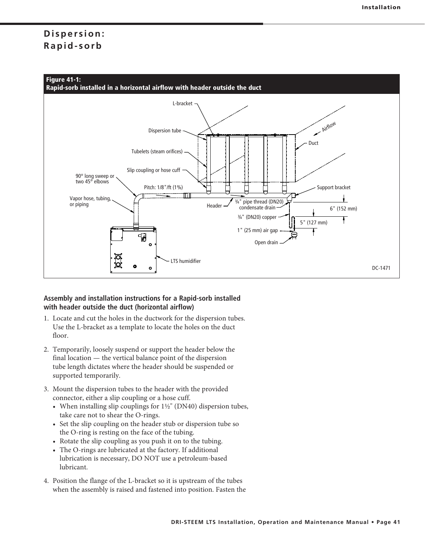![](_page_40_Figure_2.jpeg)

### **Assembly and installation instructions for a Rapid-sorb installed with header outside the duct (horizontal airflow)**

- 1. Locate and cut the holes in the ductwork for the dispersion tubes. Use the L-bracket as a template to locate the holes on the duct floor.
- 2. Temporarily, loosely suspend or support the header below the final location  $-$  the vertical balance point of the dispersion tube length dictates where the header should be suspended or supported temporarily.
- 3. Mount the dispersion tubes to the header with the provided connector, either a slip coupling or a hose cuff.
- When installing slip couplings for  $1\frac{1}{2}$ " (DN40) dispersion tubes, take care not to shear the O-rings.
	- Set the slip coupling on the header stub or dispersion tube so the O-ring is resting on the face of the tubing.
	- Rotate the slip coupling as you push it on to the tubing.
	- The O-rings are lubricated at the factory. If additional lubrication is necessary, DO NOT use a petroleum-based lubricant.
- 4. Position the flange of the L-bracket so it is upstream of the tubes when the assembly is raised and fastened into position. Fasten the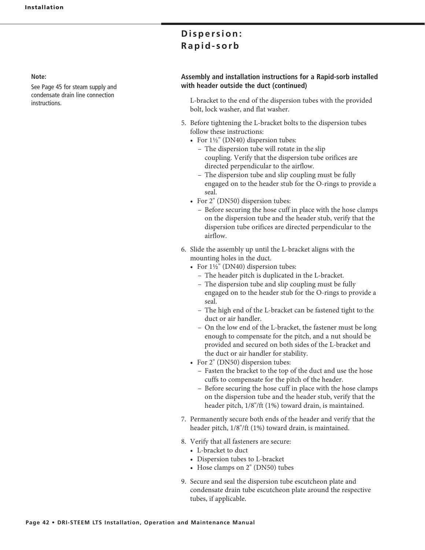#### **Note:**

See Page 45 for steam supply and condensate drain line connection instructions.

## Dispersion: Rapid-sorb

### **Assembly and installation instructions for a Rapid-sorb installed with header outside the duct (continued)**

L-bracket to the end of the dispersion tubes with the provided bolt, lock washer, and flat washer.

- 5. Before tightening the L-bracket bolts to the dispersion tubes follow these instructions:
- For  $1\frac{1}{2}$ " (DN40) dispersion tubes:
	- The dispersion tube will rotate in the slip coupling. Verify that the dispersion tube orifices are directed perpendicular to the airflow.
	- The dispersion tube and slip coupling must be fully engaged on to the header stub for the O-rings to provide a seal.
- For 2" (DN50) dispersion tubes:
	- Before securing the hose cuff in place with the hose clamps on the dispersion tube and the header stub, verify that the dispersion tube orifices are directed perpendicular to the airflow.
- 6. Slide the assembly up until the L-bracket aligns with the mounting holes in the duct.
- For  $1\frac{1}{2}$ " (DN40) dispersion tubes:
	- The header pitch is duplicated in the L-bracket.
	- The dispersion tube and slip coupling must be fully engaged on to the header stub for the O-rings to provide a seal.
	- The high end of the L-bracket can be fastened tight to the duct or air handler.
	- On the low end of the L-bracket, the fastener must be long enough to compensate for the pitch, and a nut should be provided and secured on both sides of the L-bracket and the duct or air handler for stability.
- For 2" (DN50) dispersion tubes:
	- Fasten the bracket to the top of the duct and use the hose cuffs to compensate for the pitch of the header.
	- Before securing the hose cuff in place with the hose clamps on the dispersion tube and the header stub, verify that the header pitch, 1/8"/ft (1%) toward drain, is maintained.
- 7. Permanently secure both ends of the header and verify that the header pitch, 1/8"/ft (1%) toward drain, is maintained.
- 8. Verify that all fasteners are secure:
	- L-bracket to duct
	- Dispersion tubes to L-bracket
- Hose clamps on  $2"$  (DN50) tubes
- 9. Secure and seal the dispersion tube escutcheon plate and condensate drain tube escutcheon plate around the respective tubes, if applicable.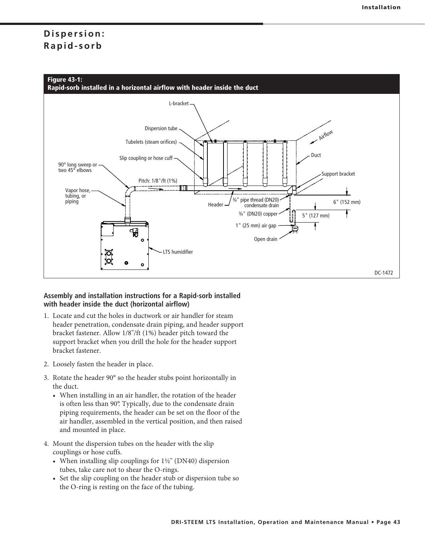![](_page_42_Figure_2.jpeg)

### **Assembly and installation instructions for a Rapid-sorb installed with header inside the duct (horizontal airflow)**

- 1. Locate and cut the holes in ductwork or air handler for steam header penetration, condensate drain piping, and header support bracket fastener. Allow 1/8"/ft (1%) header pitch toward the support bracket when you drill the hole for the header support bracket fastener.
- 2. Loosely fasten the header in place.
- 3. Rotate the header 90° so the header stubs point horizontally in the duct.
	- When installing in an air handler, the rotation of the header is often less than 90°. Typically, due to the condensate drain piping requirements, the header can be set on the floor of the air handler, assembled in the vertical position, and then raised and mounted in place.
- 4. Mount the dispersion tubes on the header with the slip couplings or hose cuffs.
- When installing slip couplings for  $1\frac{1}{2}$ " (DN40) dispersion tubes, take care not to shear the O-rings.
	- Set the slip coupling on the header stub or dispersion tube so the O-ring is resting on the face of the tubing.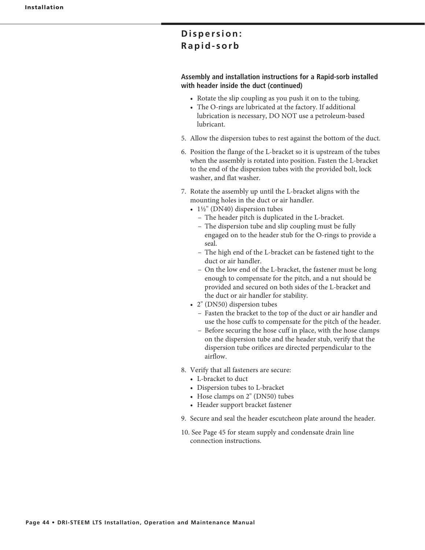### **Assembly and installation instructions for a Rapid-sorb installed with header inside the duct (continued)**

- Rotate the slip coupling as you push it on to the tubing.
- The O-rings are lubricated at the factory. If additional lubrication is necessary, DO NOT use a petroleum-based lubricant.
- 5. Allow the dispersion tubes to rest against the bottom of the duct.
- 6. Position the flange of the L-bracket so it is upstream of the tubes when the assembly is rotated into position. Fasten the L-bracket to the end of the dispersion tubes with the provided bolt, lock washer, and flat washer.
- 7. Rotate the assembly up until the L-bracket aligns with the mounting holes in the duct or air handler.
- $1\frac{1}{2}$ " (DN40) dispersion tubes
	- The header pitch is duplicated in the L-bracket.
	- The dispersion tube and slip coupling must be fully engaged on to the header stub for the O-rings to provide a seal.
	- The high end of the L-bracket can be fastened tight to the duct or air handler.
	- On the low end of the L-bracket, the fastener must be long enough to compensate for the pitch, and a nut should be provided and secured on both sides of the L-bracket and the duct or air handler for stability.
- 2" (DN50) dispersion tubes
	- Fasten the bracket to the top of the duct or air handler and use the hose cuffs to compensate for the pitch of the header.
	- Before securing the hose cuff in place, with the hose clamps on the dispersion tube and the header stub, verify that the dispersion tube orifices are directed perpendicular to the airflow.
- 8. Verify that all fasteners are secure:
	- L-bracket to duct
	- Dispersion tubes to L-bracket
- Hose clamps on  $2"$  (DN50) tubes
	- Header support bracket fastener
- 9. Secure and seal the header escutcheon plate around the header.
- 10. See Page 45 for steam supply and condensate drain line connection instructions.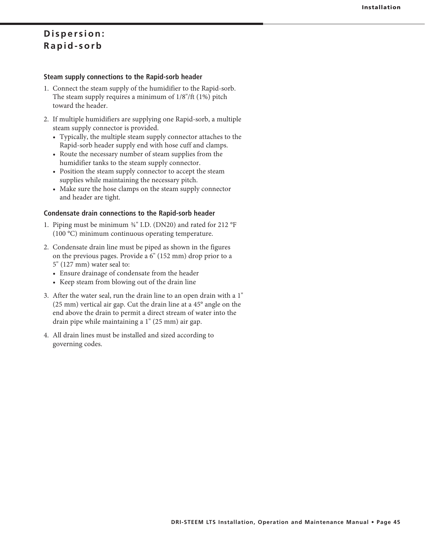### **Steam supply connections to the Rapid-sorb header**

- 1. Connect the steam supply of the humidifier to the Rapid-sorb. The steam supply requires a minimum of  $1/8$ "/ft  $(1%)$  pitch toward the header.
- 2. If multiple humidifiers are supplying one Rapid-sorb, a multiple steam supply connector is provided.
	- Typically, the multiple steam supply connector attaches to the Rapid-sorb header supply end with hose cuff and clamps.
	- Route the necessary number of steam supplies from the humidifier tanks to the steam supply connector.
	- Position the steam supply connector to accept the steam supplies while maintaining the necessary pitch.
	- Make sure the hose clamps on the steam supply connector and header are tight.

### **Condensate drain connections to the Rapid-sorb header**

- 1. Piping must be minimum  $\frac{3}{4}$ " I.D. (DN20) and rated for 212 °F (100 °C) minimum continuous operating temperature.
- 2. Condensate drain line must be piped as shown in the figures on the previous pages. Provide a 6" (152 mm) drop prior to a  $5"$   $(127 \text{ mm})$  water seal to:
	- Ensure drainage of condensate from the header
	- Keep steam from blowing out of the drain line
- 3. After the water seal, run the drain line to an open drain with a 1"  $(25 \text{ mm})$  vertical air gap. Cut the drain line at a 45 $^{\circ}$  angle on the end above the drain to permit a direct stream of water into the drain pipe while maintaining a 1" (25 mm) air gap.
- 4. All drain lines must be installed and sized according to governing codes.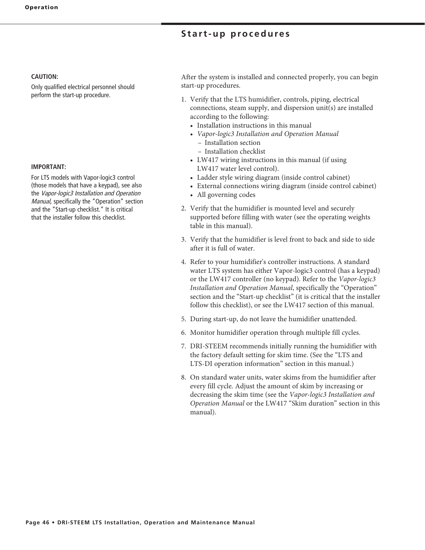### **Start-up procedures**

#### **CAUTION:**

Only qualified electrical personnel should perform the start-up procedure.

#### **IMPORTANT:**

For LTS models with Vapor-logic3 control (those models that have a keypad), see also the Vapor-logic3 Installation and Operation Manual, specifically the "Operation" section and the "Start-up checklist." It is critical that the installer follow this checklist.

After the system is installed and connected properly, you can begin start-up procedures.

- 1. Verify that the LTS humidifier, controls, piping, electrical connections, steam supply, and dispersion unit(s) are installed according to the following:
	- Installation instructions in this manual
	- Vapor-logic3 Installation and Operation Manual – Installation section
		- Installation checklist
	- LW417 wiring instructions in this manual (if using LW417 water level control).
- Ladder style wiring diagram (inside control cabinet)
- External connections wiring diagram (inside control cabinet)
	- All governing codes
- 2. Verify that the humidifier is mounted level and securely supported before filling with water (see the operating weights table in this manual).
- 3. Verify that the humidifier is level front to back and side to side after it is full of water.
- 4. Refer to your humidifier's controller instructions. A standard water LTS system has either Vapor-logic3 control (has a keypad) or the LW417 controller (no keypad). Refer to the Vapor-logic3 *Installation and Operation Manual*, specifically the "Operation" section and the "Start-up checklist" (it is critical that the installer follow this checklist), or see the LW417 section of this manual.
- 5. During start-up, do not leave the humidifier unattended.
- 6. Monitor humidifier operation through multiple fill cycles.
- 7. DRI-STEEM recommends initially running the humidifier with the factory default setting for skim time. (See the "LTS and LTS-DI operation information" section in this manual.)
- 8. On standard water units, water skims from the humidifier after every fill cycle. Adjust the amount of skim by increasing or decreasing the skim time (see the *Vapor-logic3 Installation and Operation Manual* or the LW417 "Skim duration" section in this manual).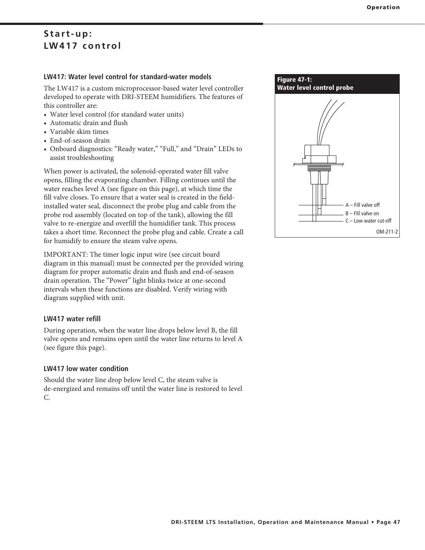### Start-up: LW417 control

### **LW417: Water level control for standard-water models**

The LW417 is a custom microprocessor-based water level controller developed to operate with DRI-STEEM humidifiers. The features of this controller are:

- Water level control (for standard water units)
- Automatic drain and flush
- Variable skim times
- End-of-season drain
- Onboard diagnostics: "Ready water," "Full," and "Drain" LEDs to assist troubleshooting

When power is activated, the solenoid-operated water fill valve opens, filling the evaporating chamber. Filling continues until the water reaches level A (see figure on this page), at which time the fill valve closes. To ensure that a water seal is created in the fieldinstalled water seal, disconnect the probe plug and cable from the probe rod assembly (located on top of the tank), allowing the fill valve to re-energize and overfill the humidifier tank. This process takes a short time. Reconnect the probe plug and cable. Create a call for humidify to ensure the steam valve opens.

IMPORTANT: The timer logic input wire (see circuit board diagram in this manual) must be connected per the provided wiring diagram for proper automatic drain and flush and end-of-season drain operation. The "Power" light blinks twice at one-second intervals when these functions are disabled. Verify wiring with diagram supplied with unit.

### **LW417 water refill**

During operation, when the water line drops below level B, the fill valve opens and remains open until the water line returns to level A (see figure this page).

### **LW417 low water condition**

Should the water line drop below level C, the steam valve is de-energized and remains off until the water line is restored to level C.

![](_page_46_Figure_15.jpeg)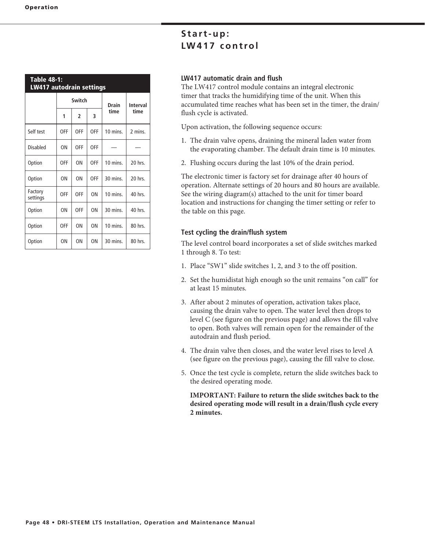| <b>Table 48-1:</b><br><b>LW417 autodrain settings</b> |            |                          |                |          |                         |  |  |  |
|-------------------------------------------------------|------------|--------------------------|----------------|----------|-------------------------|--|--|--|
|                                                       |            | Switch                   |                | Drain    | <b>Interval</b><br>time |  |  |  |
|                                                       | 1          | $\overline{\phantom{a}}$ | 3              | time     |                         |  |  |  |
| Self test                                             | <b>OFF</b> | 0FF                      | 0FF            | 10 mins. | 2 mins.                 |  |  |  |
| Disabled                                              | 0N         | <b>OFF</b>               | 0FF            |          |                         |  |  |  |
| Option                                                | <b>OFF</b> | ON                       | 0FF            | 10 mins. | 20 hrs.                 |  |  |  |
| Option                                                | ΩN         | 0 <sub>N</sub>           | OFF            | 30 mins. | 20 hrs.                 |  |  |  |
| Factory<br>settings                                   | OFF        | 0FF                      | 0 <sub>N</sub> | 10 mins. | 40 hrs.                 |  |  |  |
| Option                                                | ΩN         | 0FF                      | 0 <sub>N</sub> | 30 mins. | 40 hrs.                 |  |  |  |
| Option                                                | <b>OFF</b> | ΩN                       | 0 <sub>N</sub> | 10 mins. | 80 hrs.                 |  |  |  |
| Option                                                | ON         | ON                       | ON             | 30 mins. | 80 hrs.                 |  |  |  |

### Start-up: LW417 control

### **LW417 automatic drain and flush**

The LW417 control module contains an integral electronic timer that tracks the humidifying time of the unit. When this accumulated time reaches what has been set in the timer, the drain/ flush cycle is activated.

Upon activation, the following sequence occurs:

- 1. The drain valve opens, draining the mineral laden water from the evaporating chamber. The default drain time is 10 minutes.
- 2. Flushing occurs during the last 10% of the drain period.

The electronic timer is factory set for drainage after 40 hours of operation. Alternate settings of 20 hours and 80 hours are available. See the wiring diagram(s) attached to the unit for timer board location and instructions for changing the timer setting or refer to the table on this page.

### **Test cycling the drain/flush system**

The level control board incorporates a set of slide switches marked 1 through 8. To test:

- 1. Place "SW1" slide switches 1, 2, and 3 to the off position.
- 2. Set the humidistat high enough so the unit remains "on call" for at least 15 minutes.
- 3. After about 2 minutes of operation, activation takes place, causing the drain valve to open. The water level then drops to level C (see figure on the previous page) and allows the fill valve to open. Both valves will remain open for the remainder of the autodrain and flush period.
- 4. The drain valve then closes, and the water level rises to level A (see figure on the previous page), causing the fill valve to close.
- 5. Once the test cycle is complete, return the slide switches back to the desired operating mode.

**IMPORTANT: Failure to return the slide switches back to the desired operating mode will result in a drain/flush cycle every 2 minutes.**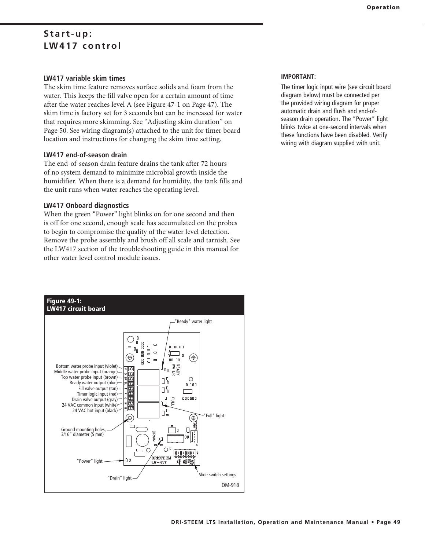### Start-up: LW417 control

### **LW417 variable skim times**

The skim time feature removes surface solids and foam from the water. This keeps the fill valve open for a certain amount of time after the water reaches level A (see Figure 47-1 on Page 47). The skim time is factory set for 3 seconds but can be increased for water that requires more skimming. See "Adjusting skim duration" on Page 50. See wiring diagram(s) attached to the unit for timer board location and instructions for changing the skim time setting.

### **LW417 end-of-season drain**

The end-of-season drain feature drains the tank after 72 hours of no system demand to minimize microbial growth inside the humidifier. When there is a demand for humidity, the tank fills and the unit runs when water reaches the operating level.

### **LW417 Onboard diagnostics**

When the green "Power" light blinks on for one second and then is off for one second, enough scale has accumulated on the probes to begin to compromise the quality of the water level detection. Remove the probe assembly and brush off all scale and tarnish. See the LW417 section of the troubleshooting guide in this manual for other water level control module issues.

![](_page_48_Figure_7.jpeg)

### **Operation**

### **IMPORTANT:**

The timer logic input wire (see circuit board diagram below) must be connected per the provided wiring diagram for proper automatic drain and flush and end-ofseason drain operation. The "Power" light blinks twice at one-second intervals when these functions have been disabled. Verify wiring with diagram supplied with unit.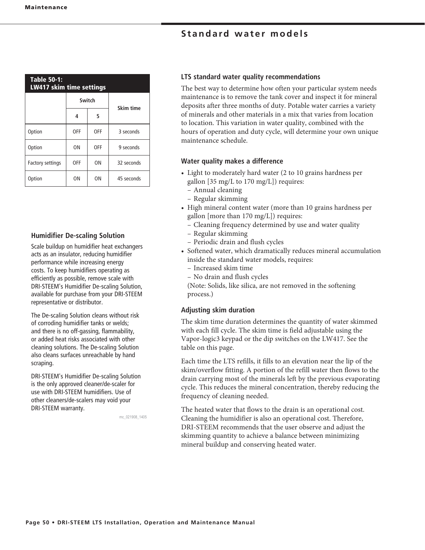| <b>Table 50-1:</b><br><b>LW417 skim time settings</b> |            |        |            |  |  |  |  |  |
|-------------------------------------------------------|------------|--------|------------|--|--|--|--|--|
|                                                       |            | Switch |            |  |  |  |  |  |
|                                                       | 4          | 5      | Skim time  |  |  |  |  |  |
| Option                                                | <b>OFF</b> | 0FF    | 3 seconds  |  |  |  |  |  |
| Option                                                | ON         | OFF    | 9 seconds  |  |  |  |  |  |
| <b>Factory settings</b>                               | <b>OFF</b> | ΟN     | 32 seconds |  |  |  |  |  |
| Option                                                | ΟN         | ΟN     | 45 seconds |  |  |  |  |  |

### **Humidifier De-scaling Solution**

Scale buildup on humidifier heat exchangers acts as an insulator, reducing humidifier performance while increasing energy costs. To keep humidifiers operating as efficiently as possible, remove scale with DRI-STEEM's Humidifier De-scaling Solution, available for purchase from your DRI-STEEM representative or distributor.

The De-scaling Solution cleans without risk of corroding humidifier tanks or welds; and there is no off-gassing, flammability, or added heat risks associated with other cleaning solutions. The De-scaling Solution also cleans surfaces unreachable by hand scraping.

DRI-STEEM's Humidifier De-scaling Solution is the only approved cleaner/de-scaler for use with DRI-STEEM humidifiers. Use of other cleaners/de-scalers may void your DRI-STEEM warranty.

mc\_021908\_1405

#### **LTS standard water quality recommendations**

The best way to determine how often your particular system needs maintenance is to remove the tank cover and inspect it for mineral deposits after three months of duty. Potable water carries a variety of minerals and other materials in a mix that varies from location to location. This variation in water quality, combined with the hours of operation and duty cycle, will determine your own unique maintenance schedule.

### **Water quality makes a difference**

- Light to moderately hard water (2 to 10 grains hardness per gallon [35 mg/L to 170 mg/L]) requires:
	- Annual cleaning
	- Regular skimming
- High mineral content water (more than 10 grains hardness per gallon [more than 170 mg/L]) requires:
	- Cleaning frequency determined by use and water quality
	- Regular skimming
	- Periodic drain and flush cycles
- Softened water, which dramatically reduces mineral accumulation inside the standard water models, requires:
	- Increased skim time
	- No drain and flush cycles

(Note: Solids, like silica, are not removed in the softening process.)

### **Adjusting skim duration**

The skim time duration determines the quantity of water skimmed with each fill cycle. The skim time is field adjustable using the Vapor-logic3 keypad or the dip switches on the LW417. See the table on this page.

Each time the LTS refills, it fills to an elevation near the lip of the skim/overflow fitting. A portion of the refill water then flows to the drain carrying most of the minerals left by the previous evaporating cycle. This reduces the mineral concentration, thereby reducing the frequency of cleaning needed.

The heated water that flows to the drain is an operational cost. Cleaning the humidifier is also an operational cost. Therefore, DRI-STEEM recommends that the user observe and adjust the skimming quantity to achieve a balance between minimizing mineral buildup and conserving heated water.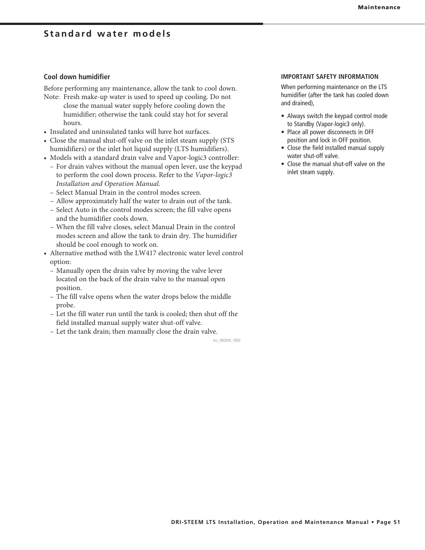#### **Cool down humidifier**

Before performing any maintenance, allow the tank to cool down.

- Note: Fresh make-up water is used to speed up cooling. Do not close the manual water supply before cooling down the humidifier; otherwise the tank could stay hot for several hours.
- Insulated and uninsulated tanks will have hot surfaces.
- Close the manual shut-off valve on the inlet steam supply (STS) humidifiers) or the inlet hot liquid supply (LTS humidifiers).
- Models with a standard drain valve and Vapor-logic3 controller:
- For drain valves without the manual open lever, use the keypad to perform the cool down process. Refer to the *Vapor-logic3 Installation and Operation Manual*.
- Select Manual Drain in the control modes screen.
- Allow approximately half the water to drain out of the tank.
- Select Auto in the control modes screen; the fill valve opens and the humidifier cools down.
- When the fill valve closes, select Manual Drain in the control modes screen and allow the tank to drain dry. The humidifier should be cool enough to work on.
- Alternative method with the LW417 electronic water level control option:
	- Manually open the drain valve by moving the valve lever located on the back of the drain valve to the manual open position.
	- The fill valve opens when the water drops below the middle probe.
	- Let the fill water run until the tank is cooled; then shut off the field installed manual supply water shut-off valve.
	- Let the tank drain; then manually close the drain valve.

mc\_060208\_1650

#### **IMPORTANT SAFETY INFORMATION**

When performing maintenance on the LTS humidifier (after the tank has cooled down and drained),

- Always switch the keypad control mode to Standby (Vapor-logic3 only).
- Place all power disconnects in OFF position and lock in OFF position.
- Close the field installed manual supply water shut-off valve.
- $\bullet$  Close the manual shut-off valve on the inlet steam supply.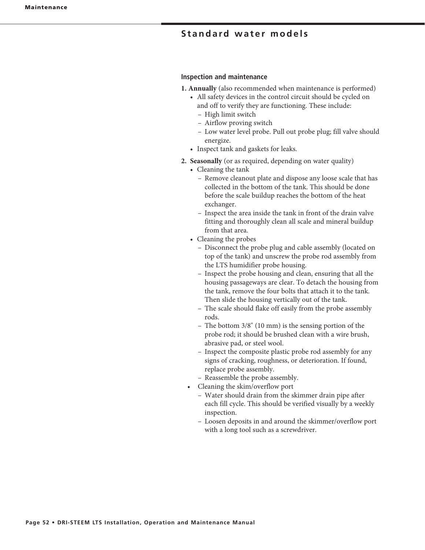### **Inspection and maintenance**

- **1. Annually** (also recommended when maintenance is performed)
	- All safety devices in the control circuit should be cycled on and off to verify they are functioning. These include:
		- High limit switch
		- Airflow proving switch
		- Low water level probe. Pull out probe plug; fill valve should energize.
	- Inspect tank and gaskets for leaks.
- 2. Seasonally (or as required, depending on water quality)
	- $\bullet$  Cleaning the tank
		- Remove cleanout plate and dispose any loose scale that has collected in the bottom of the tank. This should be done before the scale buildup reaches the bottom of the heat exchanger.
		- Inspect the area inside the tank in front of the drain valve fitting and thoroughly clean all scale and mineral buildup from that area.
	- Cleaning the probes
		- Disconnect the probe plug and cable assembly (located on top of the tank) and unscrew the probe rod assembly from the LTS humidifier probe housing.
		- Inspect the probe housing and clean, ensuring that all the housing passageways are clear. To detach the housing from the tank, remove the four bolts that attach it to the tank. Then slide the housing vertically out of the tank.
		- The scale should flake off easily from the probe assembly rods.
- The bottom  $3/8$ " (10 mm) is the sensing portion of the probe rod; it should be brushed clean with a wire brush, abrasive pad, or steel wool.
	- Inspect the composite plastic probe rod assembly for any signs of cracking, roughness, or deterioration. If found, replace probe assembly.
	- Reassemble the probe assembly.
	- Cleaning the skim/overflow port
		- Water should drain from the skimmer drain pipe after each fill cycle. This should be verified visually by a weekly inspection.
		- Loosen deposits in and around the skimmer/overflow port with a long tool such as a screwdriver.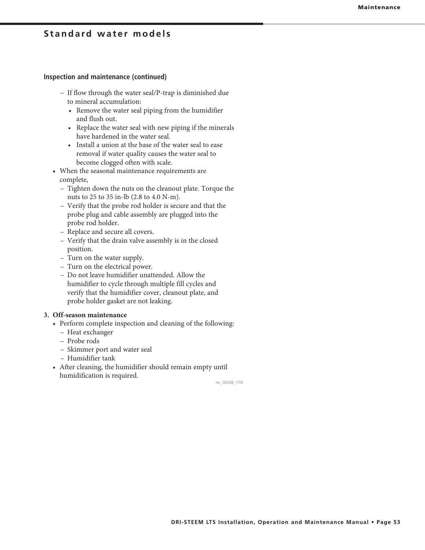#### **Inspection and maintenance (continued)**

- If flow through the water seal/P-trap is diminished due to mineral accumulation:
	- Remove the water seal piping from the humidifier and flush out.
	- Replace the water seal with new piping if the minerals have hardened in the water seal.
	- Install a union at the base of the water seal to ease removal if water quality causes the water seal to become clogged often with scale.
- When the seasonal maintenance requirements are complete,
	- Tighten down the nuts on the cleanout plate. Torque the nuts to  $25$  to  $35$  in-lb (2.8 to  $4.0$  N-m).
	- Verify that the probe rod holder is secure and that the probe plug and cable assembly are plugged into the probe rod holder.
	- Replace and secure all covers.
	- Verify that the drain valve assembly is in the closed position.
	- Turn on the water supply.
	- Turn on the electrical power.
	- Do not leave humidifier unattended. Allow the humidifier to cycle through multiple fill cycles and verify that the humidifier cover, cleanout plate, and probe holder gasket are not leaking.

#### **3. Off-season maintenance**

- Perform complete inspection and cleaning of the following:
	- Heat exchanger
	- Probe rods
	- Skimmer port and water seal
	- Humidifier tank
- After cleaning, the humidifier should remain empty until humidification is required.

mc\_060208\_1705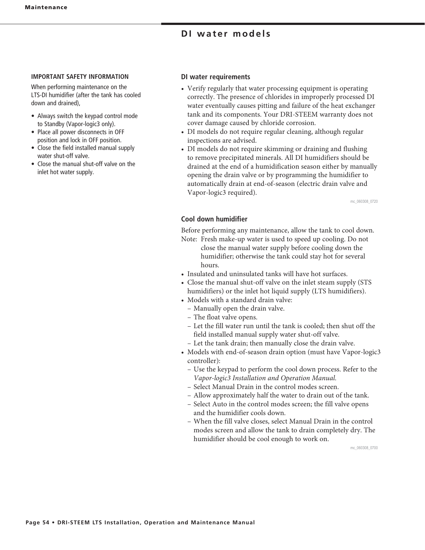### **DI** water models

#### **IMPORTANT SAFETY INFORMATION**

When performing maintenance on the LTS-DI humidifier (after the tank has cooled down and drained),

- Always switch the keypad control mode to Standby (Vapor-logic3 only).
- Place all power disconnects in OFF position and lock in OFF position.
- Close the field installed manual supply water shut-off valve.
- $\bullet$  Close the manual shut-off valve on the inlet hot water supply.

### **DI water requirements**

- Verify regularly that water processing equipment is operating correctly. The presence of chlorides in improperly processed DI water eventually causes pitting and failure of the heat exchanger tank and its components. Your DRI-STEEM warranty does not cover damage caused by chloride corrosion.
- DI models do not require regular cleaning, although regular inspections are advised.
- DI models do not require skimming or draining and flushing to remove precipitated minerals. All DI humidifiers should be drained at the end of a humidification season either by manually opening the drain valve or by programming the humidifier to automatically drain at end-of-season (electric drain valve and Vapor-logic3 required).

mc\_060308\_0720

### **Cool down humidifier**

Before performing any maintenance, allow the tank to cool down.

- Note: Fresh make-up water is used to speed up cooling. Do not close the manual water supply before cooling down the humidifier; otherwise the tank could stay hot for several hours.
- Insulated and uninsulated tanks will have hot surfaces.
- Close the manual shut-off valve on the inlet steam supply (STS humidifiers) or the inlet hot liquid supply (LTS humidifiers).
- Models with a standard drain valve:
	- Manually open the drain valve.
	- The float valve opens.
	- Let the fill water run until the tank is cooled; then shut off the field installed manual supply water shut-off valve.
	- Let the tank drain; then manually close the drain valve.
- Models with end-of-season drain option (must have Vapor-logic3 controller):
	- Use the keypad to perform the cool down process. Refer to the *Vapor-logic3 Installation and Operation Manual.*
	- Select Manual Drain in the control modes screen.
	- Allow approximately half the water to drain out of the tank.
	- Select Auto in the control modes screen; the fill valve opens and the humidifier cools down.
	- When the fill valve closes, select Manual Drain in the control modes screen and allow the tank to drain completely dry. The humidifier should be cool enough to work on.

mc\_060308\_0700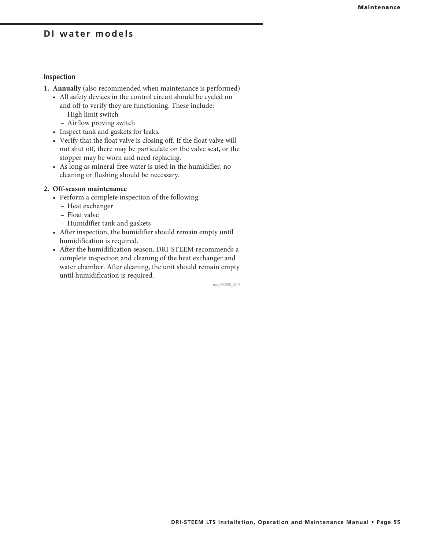### **DI water models**

### **Inspection**

- **1. Annually** (also recommended when maintenance is performed)
	- All safety devices in the control circuit should be cycled on and off to verify they are functioning. These include:
		- High limit switch
		- Airflow proving switch
	- Inspect tank and gaskets for leaks.
	- Verify that the float valve is closing off. If the float valve will not shut off, there may be particulate on the valve seat, or the stopper may be worn and need replacing.
	- As long as mineral-free water is used in the humidifier, no cleaning or flushing should be necessary.

#### **2. Off-season maintenance**

- Perform a complete inspection of the following:
	- Heat exchanger
	- Float valve
	- Humidifier tank and gaskets
- After inspection, the humidifier should remain empty until humidification is required.
- After the humidification season, DRI-STEEM recommends a complete inspection and cleaning of the heat exchanger and water chamber. After cleaning, the unit should remain empty until humidification is required.

mc\_060208\_0708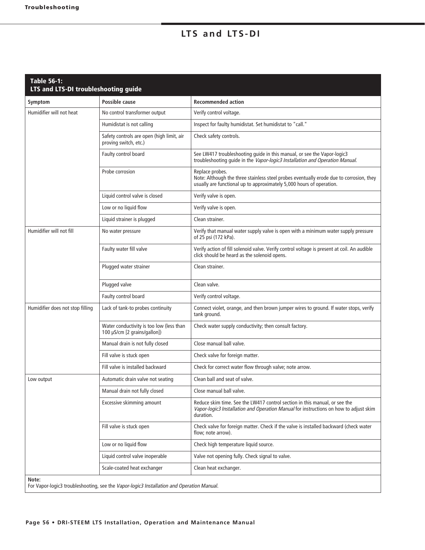## LTS and LTS-DI

| Symptom                          | Possible cause                                                           | <b>Recommended action</b>                                                                                                                                                          |
|----------------------------------|--------------------------------------------------------------------------|------------------------------------------------------------------------------------------------------------------------------------------------------------------------------------|
| Humidifier will not heat         | No control transformer output                                            | Verify control voltage.                                                                                                                                                            |
|                                  | Humidistat is not calling                                                | Inspect for faulty humidistat. Set humidistat to "call."                                                                                                                           |
|                                  | Safety controls are open (high limit, air<br>proving switch, etc.)       | Check safety controls.                                                                                                                                                             |
|                                  | Faulty control board                                                     | See LW417 troubleshooting guide in this manual, or see the Vapor-logic3<br>troubleshooting guide in the Vapor-logic3 Installation and Operation Manual.                            |
|                                  | Probe corrosion                                                          | Replace probes.<br>Note: Although the three stainless steel probes eventually erode due to corrosion, they<br>usually are functional up to approximately 5,000 hours of operation. |
|                                  | Liquid control valve is closed                                           | Verify valve is open.                                                                                                                                                              |
|                                  | Low or no liquid flow                                                    | Verify valve is open.                                                                                                                                                              |
|                                  | Liquid strainer is plugged                                               | Clean strainer.                                                                                                                                                                    |
| Humidifier will not fill         | No water pressure                                                        | Verify that manual water supply valve is open with a minimum water supply pressure<br>of 25 psi (172 kPa).                                                                         |
|                                  | Faulty water fill valve                                                  | Verify action of fill solenoid valve. Verify control voltage is present at coil. An audible<br>click should be heard as the solenoid opens.                                        |
|                                  | Plugged water strainer                                                   | Clean strainer.                                                                                                                                                                    |
|                                  | Plugged valve                                                            | Clean valve.                                                                                                                                                                       |
|                                  | Faulty control board                                                     | Verify control voltage.                                                                                                                                                            |
| Humidifier does not stop filling | Lack of tank-to probes continuity                                        | Connect violet, orange, and then brown jumper wires to ground. If water stops, verify<br>tank ground.                                                                              |
|                                  | Water conductivity is too low (less than<br>100 µS/cm [2 grains/gallon]) | Check water supply conductivity; then consult factory.                                                                                                                             |
|                                  | Manual drain is not fully closed                                         | Close manual ball valve.                                                                                                                                                           |
|                                  | Fill valve is stuck open                                                 | Check valve for foreign matter.                                                                                                                                                    |
|                                  | Fill valve is installed backward                                         | Check for correct water flow through valve; note arrow.                                                                                                                            |
| Low output                       | Automatic drain valve not seating                                        | Clean ball and seat of valve.                                                                                                                                                      |
|                                  | Manual drain not fully closed                                            | Close manual ball valve.                                                                                                                                                           |
|                                  | Excessive skimming amount                                                | Reduce skim time. See the LW417 control section in this manual, or see the<br>Vapor-logic3 Installation and Operation Manual for instructions on how to adjust skim<br>duration.   |
|                                  | Fill valve is stuck open                                                 | Check valve for foreign matter. Check if the valve is installed backward (check water<br>flow; note arrow).                                                                        |
|                                  | Low or no liquid flow                                                    | Check high temperature liquid source.                                                                                                                                              |
|                                  | Liquid control valve inoperable                                          | Valve not opening fully. Check signal to valve.                                                                                                                                    |
|                                  | Scale-coated heat exchanger                                              | Clean heat exchanger.                                                                                                                                                              |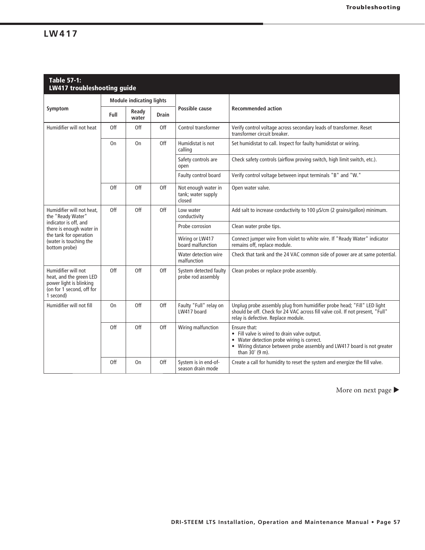### **LW417**

| <b>Table 57-1:</b><br><b>LW417 troubleshooting guide</b>                                                                                                                 |                |                                 |              |                                                                                                                            |                                                                                                                                                                                                        |
|--------------------------------------------------------------------------------------------------------------------------------------------------------------------------|----------------|---------------------------------|--------------|----------------------------------------------------------------------------------------------------------------------------|--------------------------------------------------------------------------------------------------------------------------------------------------------------------------------------------------------|
|                                                                                                                                                                          |                | <b>Module indicating lights</b> |              |                                                                                                                            |                                                                                                                                                                                                        |
| Symptom                                                                                                                                                                  | Full           | Ready<br>water                  | <b>Drain</b> | Possible cause                                                                                                             | <b>Recommended action</b>                                                                                                                                                                              |
| Humidifier will not heat                                                                                                                                                 | Off            | Off                             | Off          | Control transformer<br>Verify control voltage across secondary leads of transformer. Reset<br>transformer circuit breaker. |                                                                                                                                                                                                        |
|                                                                                                                                                                          | 0 <sub>n</sub> | On                              | Off          | Humidistat is not<br>calling                                                                                               | Set humidistat to call. Inspect for faulty humidistat or wiring.                                                                                                                                       |
|                                                                                                                                                                          |                |                                 |              | Safety controls are<br>open                                                                                                | Check safety controls (airflow proving switch, high limit switch, etc.).                                                                                                                               |
|                                                                                                                                                                          |                |                                 |              | Faulty control board                                                                                                       | Verify control voltage between input terminals "B" and "W."                                                                                                                                            |
|                                                                                                                                                                          | Off            | Off                             | Off          | Not enough water in<br>tank; water supply<br>closed                                                                        | Open water valve.                                                                                                                                                                                      |
| Humidifier will not heat.<br>the "Ready Water"<br>indicator is off, and<br>there is enough water in<br>the tank for operation<br>(water is touching the<br>bottom probe) | Off            | Off                             | Off          | Low water<br>conductivity                                                                                                  | Add salt to increase conductivity to 100 µS/cm (2 grains/gallon) minimum.                                                                                                                              |
|                                                                                                                                                                          |                |                                 |              | Probe corrosion                                                                                                            | Clean water probe tips.                                                                                                                                                                                |
|                                                                                                                                                                          |                |                                 |              | Wiring or LW417<br>board malfunction                                                                                       | Connect jumper wire from violet to white wire. If "Ready Water" indicator<br>remains off, replace module.                                                                                              |
|                                                                                                                                                                          |                |                                 |              | Water detection wire<br>malfunction                                                                                        | Check that tank and the 24 VAC common side of power are at same potential.                                                                                                                             |
| Humidifier will not<br>heat, and the green LED<br>power light is blinking<br>(on for 1 second, off for<br>1 second)                                                      | Off            | Off                             | Off          | System detected faulty<br>probe rod assembly                                                                               | Clean probes or replace probe assembly.                                                                                                                                                                |
| Humidifier will not fill                                                                                                                                                 | 0 <sub>n</sub> | Off<br>Off                      |              | Faulty "Full" relay on<br>LW417 board                                                                                      | Unplug probe assembly plug from humidifier probe head; "Fill" LED light<br>should be off. Check for 24 VAC across fill valve coil. If not present, "Full"<br>relay is defective. Replace module.       |
|                                                                                                                                                                          | Off            | Off                             | Off          | Wiring malfunction                                                                                                         | Ensure that:<br>• Fill valve is wired to drain valve output.<br>Water detection probe wiring is correct.<br>• Wiring distance between probe assembly and LW417 board is not greater<br>than 30' (9 m). |
|                                                                                                                                                                          | Off            | On                              | Off          | System is in end-of-<br>season drain mode                                                                                  | Create a call for humidity to reset the system and energize the fill valve.                                                                                                                            |

More on next page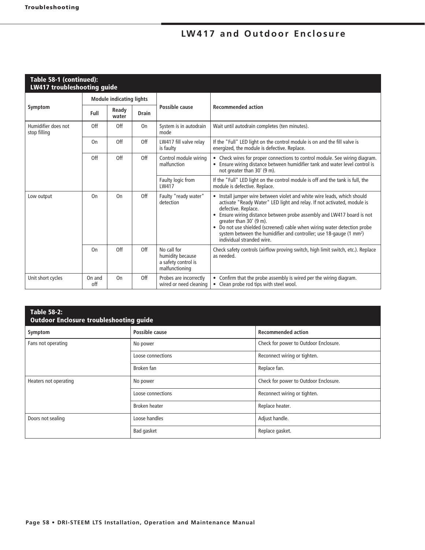## LW417 and Outdoor Enclosure

| Table 58-1 (continued):<br><b>LW417 troubleshooting guide</b> |               |                                                                                                                                            |              |                                                                                                                                                                                                                                                                                                                                                                                           |                                                                                                                                                                                                      |
|---------------------------------------------------------------|---------------|--------------------------------------------------------------------------------------------------------------------------------------------|--------------|-------------------------------------------------------------------------------------------------------------------------------------------------------------------------------------------------------------------------------------------------------------------------------------------------------------------------------------------------------------------------------------------|------------------------------------------------------------------------------------------------------------------------------------------------------------------------------------------------------|
|                                                               |               | <b>Module indicating lights</b>                                                                                                            |              |                                                                                                                                                                                                                                                                                                                                                                                           |                                                                                                                                                                                                      |
| Symptom                                                       | Full          | Ready<br>water                                                                                                                             | <b>Drain</b> | Possible cause                                                                                                                                                                                                                                                                                                                                                                            | <b>Recommended action</b>                                                                                                                                                                            |
| Humidifier does not<br>stop filling                           | Off           | Off                                                                                                                                        | On           | System is in autodrain<br>mode                                                                                                                                                                                                                                                                                                                                                            | Wait until autodrain completes (ten minutes).                                                                                                                                                        |
|                                                               | On            | Off                                                                                                                                        | Off          | LW417 fill valve relay<br>is faulty                                                                                                                                                                                                                                                                                                                                                       | If the "Full" LED light on the control module is on and the fill valve is<br>energized, the module is defective. Replace.                                                                            |
|                                                               | Off           | Off                                                                                                                                        | Off          | Control module wiring<br>malfunction                                                                                                                                                                                                                                                                                                                                                      | • Check wires for proper connections to control module. See wiring diagram.<br>Ensure wiring distance between humidifier tank and water level control is<br>$\bullet$<br>not greater than 30' (9 m). |
|                                                               |               |                                                                                                                                            |              | Faulty logic from<br>LW417                                                                                                                                                                                                                                                                                                                                                                | If the "Full" LED light on the control module is off and the tank is full, the<br>module is defective. Replace.                                                                                      |
| Low output                                                    | On            | Off<br>Faulty "ready water"<br>On<br>detection<br>defective. Replace.<br>$\bullet$<br>greater than 30' (9 m).<br>individual stranded wire. |              | • Install jumper wire between violet and white wire leads, which should<br>activate "Ready Water" LED light and relay. If not activated, module is<br>Ensure wiring distance between probe assembly and LW417 board is not<br>• Do not use shielded (screened) cable when wiring water detection probe<br>system between the humidifier and controller; use 18-gauge (1 mm <sup>2</sup> ) |                                                                                                                                                                                                      |
|                                                               | On            | Off                                                                                                                                        | Off          | No call for<br>humidity because<br>a safety control is<br>malfunctioning                                                                                                                                                                                                                                                                                                                  | Check safety controls (airflow proving switch, high limit switch, etc.). Replace<br>as needed.                                                                                                       |
| Unit short cycles                                             | On and<br>off | On                                                                                                                                         | Off          | Probes are incorrectly<br>wired or need cleaning                                                                                                                                                                                                                                                                                                                                          | • Confirm that the probe assembly is wired per the wiring diagram.<br>Clean probe rod tips with steel wool.<br>$\bullet$                                                                             |

| <b>Table 58-2:</b><br><b>Outdoor Enclosure troubleshooting guide</b> |                   |                                       |  |  |  |  |  |
|----------------------------------------------------------------------|-------------------|---------------------------------------|--|--|--|--|--|
| Symptom                                                              | Possible cause    | <b>Recommended action</b>             |  |  |  |  |  |
| Fans not operating                                                   | No power          | Check for power to Outdoor Enclosure. |  |  |  |  |  |
|                                                                      | Loose connections | Reconnect wiring or tighten.          |  |  |  |  |  |
|                                                                      | Broken fan        | Replace fan.                          |  |  |  |  |  |
| Heaters not operating                                                | No power          | Check for power to Outdoor Enclosure. |  |  |  |  |  |
|                                                                      | Loose connections | Reconnect wiring or tighten.          |  |  |  |  |  |
|                                                                      | Broken heater     | Replace heater.                       |  |  |  |  |  |
| Doors not sealing                                                    | Loose handles     | Adjust handle.                        |  |  |  |  |  |
|                                                                      | Bad gasket        | Replace gasket.                       |  |  |  |  |  |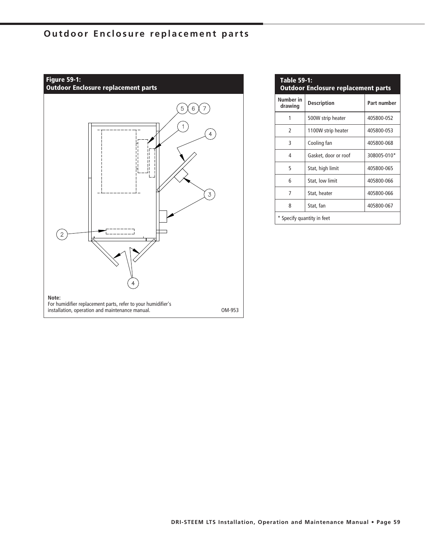## **Outdoor Enclosure replacement parts**

![](_page_58_Figure_1.jpeg)

| <b>Table 59-1:</b><br><b>Outdoor Enclosure replacement parts</b> |                                   |             |  |  |  |  |
|------------------------------------------------------------------|-----------------------------------|-------------|--|--|--|--|
| Number in<br>drawing                                             | <b>Description</b><br>Part number |             |  |  |  |  |
| 1                                                                | 500W strip heater                 | 405800-052  |  |  |  |  |
| $\mathcal{P}$                                                    | 1100W strip heater                | 405800-053  |  |  |  |  |
| 3                                                                | Cooling fan                       | 405800-068  |  |  |  |  |
| 4                                                                | Gasket, door or roof              | 308005-010* |  |  |  |  |
| 5                                                                | Stat, high limit                  | 405800-065  |  |  |  |  |
| 6                                                                | Stat, low limit                   | 405800-066  |  |  |  |  |
| 7                                                                | Stat, heater                      | 405800-066  |  |  |  |  |
| 8                                                                | Stat, fan<br>405800-067           |             |  |  |  |  |
| * Specify quantity in feet                                       |                                   |             |  |  |  |  |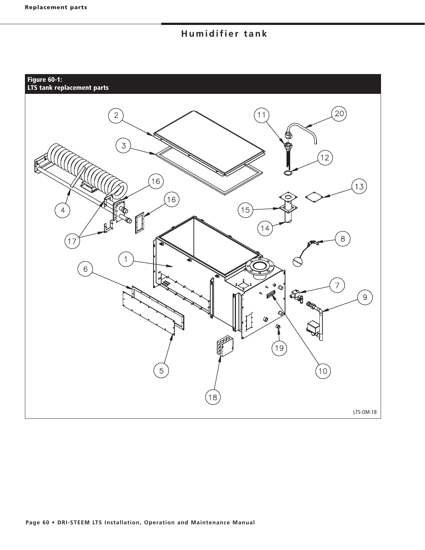## **Humidifier tank**

#### **Figure 60-1: LTS tank replacement parts**

![](_page_59_Figure_3.jpeg)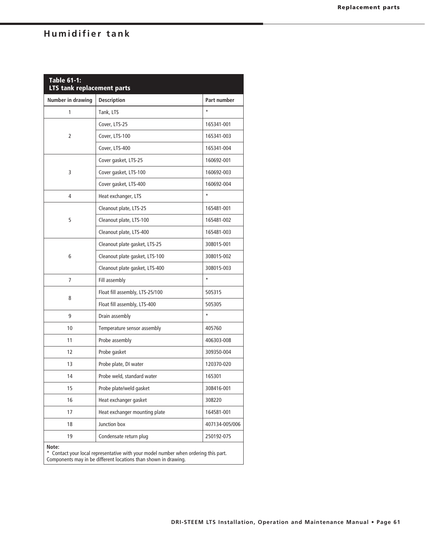## **Humidifier tank**

| <b>Table 61-1:</b><br>LTS tank replacement parts |                                 |                |  |  |  |  |  |
|--------------------------------------------------|---------------------------------|----------------|--|--|--|--|--|
| Number in drawing                                | <b>Description</b>              | Part number    |  |  |  |  |  |
| 1                                                | Tank, LTS                       | $\star$        |  |  |  |  |  |
|                                                  | Cover, LTS-25                   | 165341-001     |  |  |  |  |  |
| 2                                                | Cover, LTS-100                  | 165341-003     |  |  |  |  |  |
|                                                  | Cover, LTS-400                  | 165341-004     |  |  |  |  |  |
|                                                  | Cover gasket, LTS-25            | 160692-001     |  |  |  |  |  |
| 3                                                | Cover gasket, LTS-100           | 160692-003     |  |  |  |  |  |
|                                                  | Cover gasket, LTS-400           | 160692-004     |  |  |  |  |  |
| 4                                                | Heat exchanger, LTS             | $\star$        |  |  |  |  |  |
|                                                  | Cleanout plate, LTS-25          | 165481-001     |  |  |  |  |  |
| 5                                                | Cleanout plate, LTS-100         | 165481-002     |  |  |  |  |  |
|                                                  | Cleanout plate, LTS-400         | 165481-003     |  |  |  |  |  |
|                                                  | Cleanout plate gasket, LTS-25   | 308015-001     |  |  |  |  |  |
| 6                                                | Cleanout plate gasket, LTS-100  | 308015-002     |  |  |  |  |  |
|                                                  | Cleanout plate gasket, LTS-400  | 308015-003     |  |  |  |  |  |
| 7                                                | Fill assembly                   | $\star$        |  |  |  |  |  |
|                                                  | Float fill assembly, LTS-25/100 | 505315         |  |  |  |  |  |
| 8                                                | Float fill assembly, LTS-400    | 505305         |  |  |  |  |  |
| 9                                                | Drain assembly                  | $\star$        |  |  |  |  |  |
| 10                                               | Temperature sensor assembly     | 405760         |  |  |  |  |  |
| 11                                               | Probe assembly                  | 406303-008     |  |  |  |  |  |
| 12                                               | Probe gasket                    | 309350-004     |  |  |  |  |  |
| 13                                               | Probe plate, DI water           | 120370-020     |  |  |  |  |  |
| 14                                               | Probe weld, standard water      | 165301         |  |  |  |  |  |
| 15                                               | Probe plate/weld gasket         | 308416-001     |  |  |  |  |  |
| 16                                               | Heat exchanger gasket           | 308220         |  |  |  |  |  |
| 17                                               | Heat exchanger mounting plate   | 164581-001     |  |  |  |  |  |
| 18                                               | Junction box                    | 407134-005/006 |  |  |  |  |  |
| 19                                               | Condensate return plug          | 250192-075     |  |  |  |  |  |
| Note:                                            |                                 |                |  |  |  |  |  |

\* Contact your local representative with your model number when ordering this part. Components may in be different locations than shown in drawing.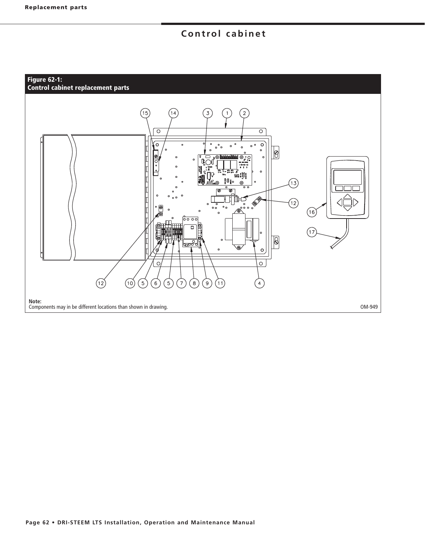## **Control cabinet**

#### **Figure 62-1: Control cabinet replacement parts**

![](_page_61_Figure_3.jpeg)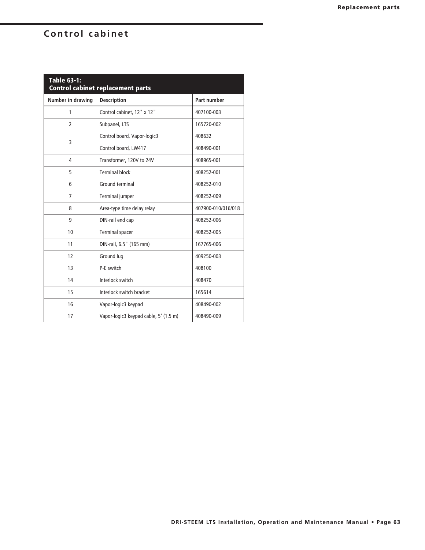## **Control cabinet**

| <b>Table 63-1:</b><br><b>Control cabinet replacement parts</b> |                                       |                    |  |  |  |  |
|----------------------------------------------------------------|---------------------------------------|--------------------|--|--|--|--|
| Number in drawing                                              | <b>Description</b>                    | Part number        |  |  |  |  |
| 1                                                              | Control cabinet, 12" x 12"            | 407100-003         |  |  |  |  |
| $\overline{2}$                                                 | Subpanel, LTS                         | 165720-002         |  |  |  |  |
| 3                                                              | Control board, Vapor-logic3           | 408632             |  |  |  |  |
|                                                                | Control board, LW417                  | 408490-001         |  |  |  |  |
| 4                                                              | Transformer, 120V to 24V              | 408965-001         |  |  |  |  |
| 5                                                              | <b>Terminal block</b>                 | 408252-001         |  |  |  |  |
| 6                                                              | Ground terminal                       | 408252-010         |  |  |  |  |
| $\overline{7}$                                                 | Terminal jumper                       | 408252-009         |  |  |  |  |
| 8                                                              | Area-type time delay relay            | 407900-010/016/018 |  |  |  |  |
| 9                                                              | DIN-rail end cap                      | 408252-006         |  |  |  |  |
| 10                                                             | Terminal spacer                       | 408252-005         |  |  |  |  |
| 11                                                             | DIN-rail, 6.5" (165 mm)               | 167765-006         |  |  |  |  |
| 12                                                             | Ground lug                            | 409250-003         |  |  |  |  |
| 13                                                             | P-E switch                            | 408100             |  |  |  |  |
| 14                                                             | Interlock switch                      | 408470             |  |  |  |  |
| 15                                                             | Interlock switch bracket              | 165614             |  |  |  |  |
| 16                                                             | Vapor-logic3 keypad                   | 408490-002         |  |  |  |  |
| 17                                                             | Vapor-logic3 keypad cable, 5' (1.5 m) | 408490-009         |  |  |  |  |